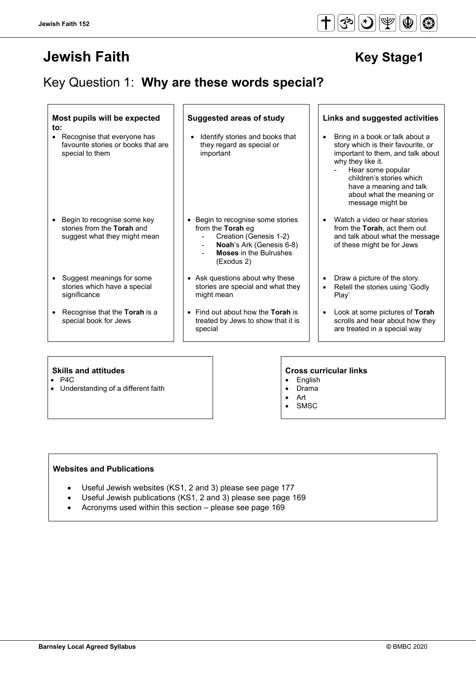# **Jewish Faith Access 1998 12:00 New Stage1**

# Key Question 1: **Why are these words special?**

#### **Most pupils will be expected to:**

- Recognise that everyone has favourite stories or books that are special to them
- Begin to recognise some key stories from the **Torah** and suggest what they might mean
- Suggest meanings for some stories which have a special significance
- Recognise that the **Torah** is a special book for Jews

- Identify stories and books that they regard as special or important
- Begin to recognise some stories from the **Torah** eg
	- Creation (Genesis 1-2)
	- **Noah**'s Ark (Genesis 6-8)
	- **Moses** in the Bulrushes (Exodus 2)
- Ask questions about why these stories are special and what they might mean
- Find out about how the **Torah** is treated by Jews to show that it is special

#### **Suggested areas of study Links and suggested activities**

- Bring in a book or talk about a story which is their favourite, or important to them, and talk about why they like it.
	- Hear some popular children's stories which have a meaning and talk about what the meaning or message might be
- Watch a video or hear stories from the **Torah**, act them out and talk about what the message of these might be for Jews
- Draw a picture of the story.
- Retell the stories using 'Godly Play'
- Look at some pictures of **Torah**  scrolls and hear about how they are treated in a special way

- P4C
- Understanding of a different faith

#### **Skills and attitudes Cross curricular links**

- **English** • Drama
- Art
- **SMSC**

#### **Websites and Publications**

- Useful Jewish websites (KS1, 2 and 3) please see page 177
- Useful Jewish publications (KS1, 2 and 3) please see page 169
	- Acronyms used within this section please see page 169

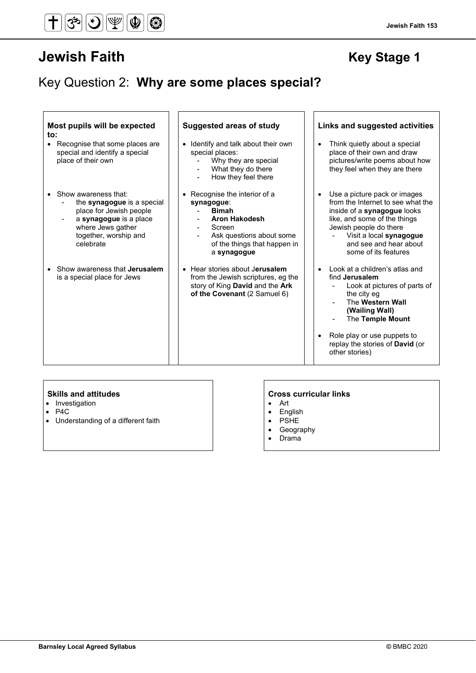#### **Jewish Faith 153**

## Key Question 2: **Why are some places special?**

| Most pupils will be expected<br>to:<br>• Recognise that some places are<br>special and identify a special<br>place of their own                                      | <b>Suggested areas of study</b><br>• Identify and talk about their own<br>special places:<br>Why they are special<br>What they do there<br>How they feel there                             | Links and suggested activities<br>Think quietly about a special<br>$\bullet$<br>place of their own and draw<br>pictures/write poems about how<br>they feel when they are there                                                                                          |
|----------------------------------------------------------------------------------------------------------------------------------------------------------------------|--------------------------------------------------------------------------------------------------------------------------------------------------------------------------------------------|-------------------------------------------------------------------------------------------------------------------------------------------------------------------------------------------------------------------------------------------------------------------------|
| • Show awareness that:<br>the synagogue is a special<br>place for Jewish people<br>a synagogue is a place<br>where Jews gather<br>together, worship and<br>celebrate | • Recognise the interior of a<br>synagogue:<br><b>Bimah</b><br><b>Aron Hakodesh</b><br>Screen<br>$\blacksquare$<br>Ask questions about some<br>of the things that happen in<br>a synagogue | Use a picture pack or images<br>$\bullet$<br>from the Internet to see what the<br>inside of a synagogue looks<br>like, and some of the things<br>Jewish people do there<br>Visit a local synagogue<br>and see and hear about<br>some of its features                    |
| • Show awareness that <b>Jerusalem</b><br>is a special place for Jews                                                                                                | • Hear stories about Jerusalem<br>from the Jewish scriptures, eg the<br>story of King David and the Ark<br>of the Covenant (2 Samuel 6)                                                    | Look at a children's atlas and<br>$\bullet$<br>find Jerusalem<br>Look at pictures of parts of<br>the city eg<br>The Western Wall<br>(Wailing Wall)<br>The Temple Mount<br>Role play or use puppets to<br>$\bullet$<br>replay the stories of David (or<br>other stories) |

- Investigation
- P4C
- Understanding of a different faith

#### **Skills and attitudes CRS CRS CRS CRS CRS CRS CRS CRS CRS CRS CRS CRS CRS CRS CRS CRS CRS CRS CRS CRS CRS CRS CRS CRS CRS CRS CRS CRS CRS CRS CRS CRS CRS**

- Art
- English
- PSHE
- Geography
- Drama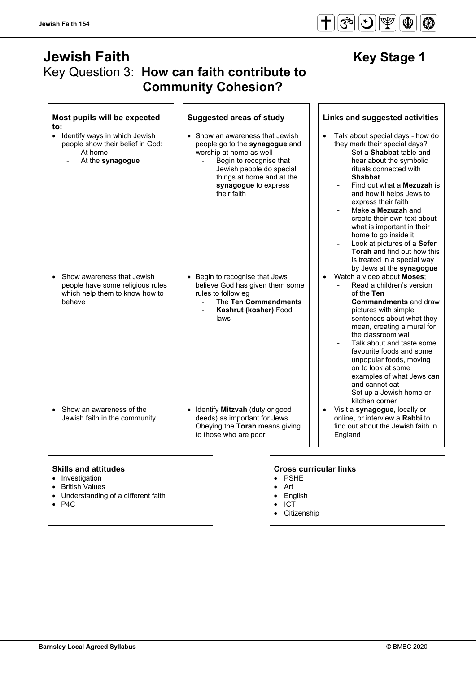$\Gamma$ 

## **Jewish Faith Manual Action Contract Contract Contract Contract Contract Contract Contract Contract Contract Contract Contract Contract Contract Contract Contract Contract Contract Contract Contract Contract Contract Contr** Key Question 3: **How can faith contribute to Community Cohesion?**

| Most pupils will be expected<br>to:                                                                           | <b>Suggested areas of study</b>                                                                                                                                                                                         | Links and suggested activities                                                                                                                                                                                                                                                                                                                                                                                                                                                                                             |
|---------------------------------------------------------------------------------------------------------------|-------------------------------------------------------------------------------------------------------------------------------------------------------------------------------------------------------------------------|----------------------------------------------------------------------------------------------------------------------------------------------------------------------------------------------------------------------------------------------------------------------------------------------------------------------------------------------------------------------------------------------------------------------------------------------------------------------------------------------------------------------------|
| Identify ways in which Jewish<br>$\bullet$<br>people show their belief in God:<br>At home<br>At the synagogue | • Show an awareness that Jewish<br>people go to the synagogue and<br>worship at home as well<br>Begin to recognise that<br>Jewish people do special<br>things at home and at the<br>synagogue to express<br>their faith | Talk about special days - how do<br>$\bullet$<br>they mark their special days?<br>Set a Shabbat table and<br>hear about the symbolic<br>rituals connected with<br><b>Shabbat</b><br>Find out what a <b>Mezuzah</b> is<br>and how it helps Jews to<br>express their faith<br>Make a <b>Mezuzah</b> and<br>create their own text about<br>what is important in their<br>home to go inside it<br>Look at pictures of a Sefer<br><b>Torah</b> and find out how this<br>is treated in a special way<br>by Jews at the synagogue |
| Show awareness that Jewish<br>people have some religious rules<br>which help them to know how to<br>behave    | Begin to recognise that Jews<br>believe God has given them some<br>rules to follow eg<br>The Ten Commandments<br>Kashrut (kosher) Food<br>laws                                                                          | Watch a video about Moses:<br>Read a children's version<br>of the Ten<br><b>Commandments</b> and draw<br>pictures with simple<br>sentences about what they<br>mean, creating a mural for<br>the classroom wall<br>Talk about and taste some<br>favourite foods and some<br>unpopular foods, moving<br>on to look at some<br>examples of what Jews can<br>and cannot eat<br>Set up a Jewish home or<br>kitchen corner                                                                                                       |
| • Show an awareness of the<br>Jewish faith in the community                                                   | Identify Mitzvah (duty or good<br>deeds) as important for Jews.<br>Obeying the Torah means giving<br>to those who are poor                                                                                              | Visit a synagogue, locally or<br>online, or interview a Rabbi to<br>find out about the Jewish faith in<br>England                                                                                                                                                                                                                                                                                                                                                                                                          |

- Investigation
- British Values
- Understanding of a different faith
- P4C

#### **Skills and attitudes Cross curricular links**

- PSHE
- Art
- English
- ICT
- Citizenship

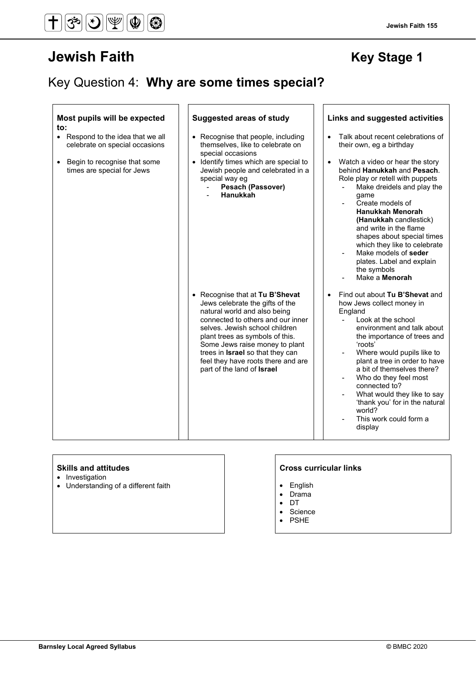# **Jewish Faith Manual Accord Faith Rey Stage 1**

## Key Question 4: **Why are some times special?**

| Most pupils will be expected<br>to:                                                                                                            | <b>Suggested areas of study</b>                                                                                                                                                                                                                                                                                                                        | Links and suggested activities                                                                                                                                                                                                                                                                                                                                                                                                                                                |
|------------------------------------------------------------------------------------------------------------------------------------------------|--------------------------------------------------------------------------------------------------------------------------------------------------------------------------------------------------------------------------------------------------------------------------------------------------------------------------------------------------------|-------------------------------------------------------------------------------------------------------------------------------------------------------------------------------------------------------------------------------------------------------------------------------------------------------------------------------------------------------------------------------------------------------------------------------------------------------------------------------|
| • Respond to the idea that we all<br>celebrate on special occasions<br>Begin to recognise that some<br>$\bullet$<br>times are special for Jews | • Recognise that people, including<br>themselves, like to celebrate on<br>special occasions<br>• Identify times which are special to<br>Jewish people and celebrated in a<br>special way eg<br><b>Pesach (Passover)</b><br>Hanukkah                                                                                                                    | Talk about recent celebrations of<br>$\bullet$<br>their own, eg a birthday<br>Watch a video or hear the story<br>behind Hanukkah and Pesach.<br>Role play or retell with puppets<br>Make dreidels and play the<br>qame<br>Create models of<br><b>Hanukkah Menorah</b><br>(Hanukkah candlestick)<br>and write in the flame<br>shapes about special times<br>which they like to celebrate<br>Make models of seder<br>plates. Label and explain<br>the symbols<br>Make a Menorah |
|                                                                                                                                                | • Recognise that at Tu B'Shevat<br>Jews celebrate the gifts of the<br>natural world and also being<br>connected to others and our inner<br>selves. Jewish school children<br>plant trees as symbols of this.<br>Some Jews raise money to plant<br>trees in Israel so that they can<br>feel they have roots there and are<br>part of the land of Israel | Find out about Tu B'Shevat and<br>$\bullet$<br>how Jews collect money in<br>England<br>Look at the school<br>$\blacksquare$<br>environment and talk about<br>the importance of trees and<br>'roots'<br>Where would pupils like to<br>plant a tree in order to have<br>a bit of themselves there?<br>Who do they feel most<br>connected to?<br>What would they like to say<br>'thank you' for in the natural<br>world?<br>This work could form a<br>display                    |

- Investigation
- Understanding of a different faith  $\vert \cdot \vert$  Finglish

### **Skills and attitudes CRS CRS CRS CRS CRS CRS CRS CRS CRS CRS CRS CRS CRS CRS CRS CRS CRS CRS CRS CRS CRS CRS CRS CRS CRS CRS CRS CRS CRS CRS CRS CRS CRS**

- 
- Drama<br>• DT
- DT
- Science<br>• PSHE • PSHE
-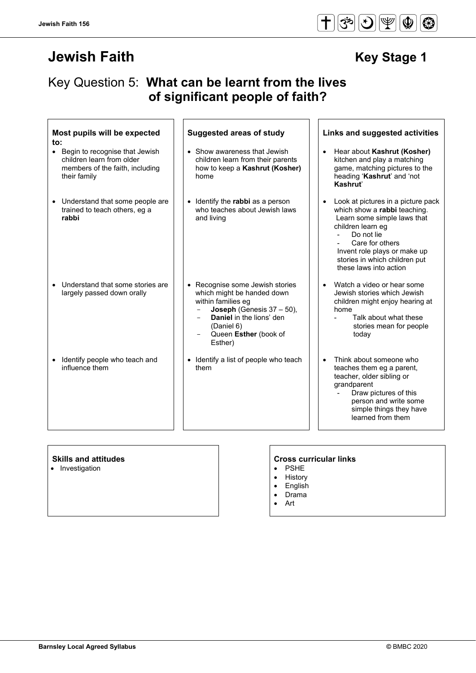# **Jewish Faith Manual Contract Contract Contract Contract Contract Contract Contract Contract Contract Contract Contract Contract Contract Contract Contract Contract Contract Contract Contract Contract Contract Contract Con**

## Key Question 5: **What can be learnt from the lives of significant people of faith?**

 $\mathbf{r}$ 

| Most pupils will be expected<br>to:                                                                              | <b>Suggested areas of study</b>                                                                                                                                                                          | Links and suggested activities                                                                                                                                                                                                                                                    |
|------------------------------------------------------------------------------------------------------------------|----------------------------------------------------------------------------------------------------------------------------------------------------------------------------------------------------------|-----------------------------------------------------------------------------------------------------------------------------------------------------------------------------------------------------------------------------------------------------------------------------------|
| • Begin to recognise that Jewish<br>children learn from older<br>members of the faith, including<br>their family | • Show awareness that Jewish<br>children learn from their parents<br>how to keep a Kashrut (Kosher)<br>home                                                                                              | Hear about Kashrut (Kosher)<br>$\bullet$<br>kitchen and play a matching<br>game, matching pictures to the<br>heading 'Kashrut' and 'not<br>Kashrut'                                                                                                                               |
| • Understand that some people are<br>trained to teach others, eg a<br>rabbi                                      | • Identify the rabbi as a person<br>who teaches about Jewish laws<br>and living                                                                                                                          | Look at pictures in a picture pack<br>$\bullet$<br>which show a rabbi teaching.<br>Learn some simple laws that<br>children learn eg<br>Do not lie<br>$\overline{a}$<br>Care for others<br>Invent role plays or make up<br>stories in which children put<br>these laws into action |
| Understand that some stories are<br>largely passed down orally                                                   | • Recognise some Jewish stories<br>which might be handed down<br>within families eg<br>Joseph (Genesis $37 - 50$ ),<br><b>Daniel</b> in the lions' den<br>(Daniel 6)<br>Queen Esther (book of<br>Esther) | Watch a video or hear some<br>$\bullet$<br>Jewish stories which Jewish<br>children might enjoy hearing at<br>home<br>Talk about what these<br>stories mean for people<br>today                                                                                                    |
| Identify people who teach and<br>influence them                                                                  | Identify a list of people who teach<br>$\bullet$<br>them                                                                                                                                                 | Think about someone who<br>$\bullet$<br>teaches them eg a parent,<br>teacher, older sibling or<br>grandparent<br>Draw pictures of this<br>person and write some<br>simple things they have<br>learned from them                                                                   |

• Investigation

# **Skills and attitudes**<br>
• Investigation<br>
• **Cross curricular links**

- 
- History
- English
- Drama
- Art

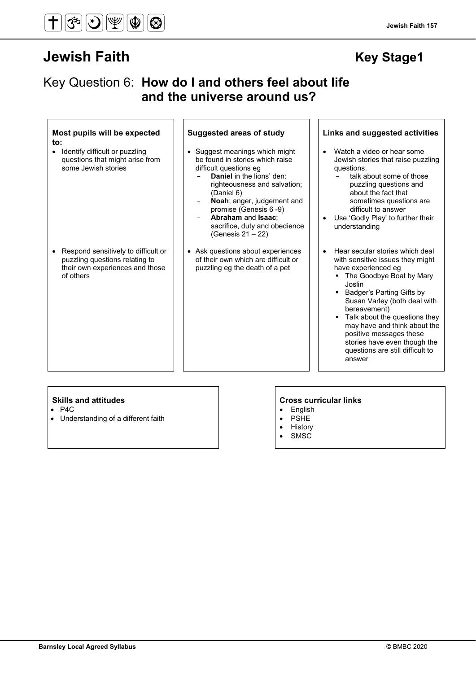**Most pupils will be expected** 

• Respond sensitively to difficult or puzzling questions relating to their own experiences and those

of others

• Identify difficult or puzzling questions that might arise from

some Jewish stories

# **Jewish Faith Contract Contract Contract Contract Contract Contract Contract Contract Contract Contract Contract Contract Contract Contract Contract Contract Contract Contract Contract Contract Contract Contract Contract C**

**to:**

 **and the universe around us?**

Key Question 6: **How do I and others feel about life** 

- Suggest meanings which might be found in stories which raise difficult questions eg
	- Daniel in the lions' den: righteousness and salvation; (Daniel 6)
	- Noah; anger, judgement and promise (Genesis 6 -9)
	- **Abraham** and **Isaac**; sacrifice, duty and obedience (Genesis 21 – 22)
- Ask questions about experiences of their own which are difficult or puzzling eg the death of a pet

#### **Suggested areas of study Links and suggested activities**

- Watch a video or hear some Jewish stories that raise puzzling questions.
	- talk about some of those puzzling questions and about the fact that sometimes questions are difficult to answer
- Use 'Godly Play' to further their understanding
- Hear secular stories which deal with sensitive issues they might have experienced eg
	- The Goodbye Boat by Mary Joslin
	- **Badger's Parting Gifts by** Susan Varley (both deal with bereavement)
	- **Talk about the questions they** may have and think about the positive messages these stories have even though the questions are still difficult to answer

- P4C
- Understanding of a different faith

- English
- PSHE
- History **SMSC**
-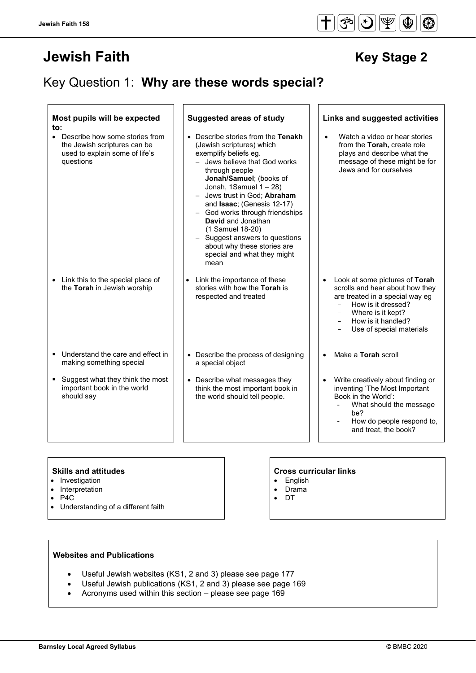# **Jewish Faith Manual Contract Contract Contract Contract Contract Contract Contract Contract Contract Contract Contract Contract Contract Contract Contract Contract Contract Contract Contract Contract Contract Contract Con**

## Key Question 1: **Why are these words special?**

| to:       | Most pupils will be expected                                                                                  | <b>Suggested areas of study</b>                                                                                                                                                                                                                                                                                                                                                                                                                                                                                             |  | Links and suggested activities                                                                                                                                                                                                                                          |
|-----------|---------------------------------------------------------------------------------------------------------------|-----------------------------------------------------------------------------------------------------------------------------------------------------------------------------------------------------------------------------------------------------------------------------------------------------------------------------------------------------------------------------------------------------------------------------------------------------------------------------------------------------------------------------|--|-------------------------------------------------------------------------------------------------------------------------------------------------------------------------------------------------------------------------------------------------------------------------|
| $\bullet$ | Describe how some stories from<br>the Jewish scriptures can be<br>used to explain some of life's<br>questions | • Describe stories from the Tenakh<br>(Jewish scriptures) which<br>exemplify beliefs eg.<br>Jews believe that God works<br>through people<br>Jonah/Samuel; (books of<br>Jonah, 1Samuel $1 - 28$ )<br>Jews trust in God; Abraham<br>$\overline{\phantom{0}}$<br>and Isaac; (Genesis 12-17)<br>God works through friendships<br>$\overline{\phantom{0}}$<br>David and Jonathan<br>(1 Samuel 18-20)<br>Suggest answers to questions<br>$\qquad \qquad -$<br>about why these stories are<br>special and what they might<br>mean |  | Watch a video or hear stories<br>from the Torah, create role<br>plays and describe what the<br>message of these might be for<br>Jews and for ourselves                                                                                                                  |
|           | • Link this to the special place of<br>the Torah in Jewish worship                                            | Link the importance of these<br>stories with how the Torah is<br>respected and treated                                                                                                                                                                                                                                                                                                                                                                                                                                      |  | Look at some pictures of Torah<br>scrolls and hear about how they<br>are treated in a special way eq<br>How is it dressed?<br>$\qquad \qquad -$<br>Where is it kept?<br>$\overline{\phantom{a}}$<br>How is it handled?<br>$\qquad \qquad -$<br>Use of special materials |
|           | Understand the care and effect in<br>making something special                                                 | • Describe the process of designing<br>a special object                                                                                                                                                                                                                                                                                                                                                                                                                                                                     |  | Make a Torah scroll                                                                                                                                                                                                                                                     |
| ٠         | Suggest what they think the most<br>important book in the world<br>should say                                 | • Describe what messages they<br>think the most important book in<br>the world should tell people.                                                                                                                                                                                                                                                                                                                                                                                                                          |  | Write creatively about finding or<br>inventing 'The Most Important<br>Book in the World':<br>What should the message<br>be?<br>How do people respond to,<br>and treat, the book?                                                                                        |

#### **Skills and attitudes Cross curricular links**

- Investigation
- Interpretation
- P4C
- Understanding of a different faith

### **Websites and Publications**

- Useful Jewish websites (KS1, 2 and 3) please see page 177
- Useful Jewish publications (KS1, 2 and 3) please see page 169
- Acronyms used within this section please see page 169

## • English

- 
- Drama • DT

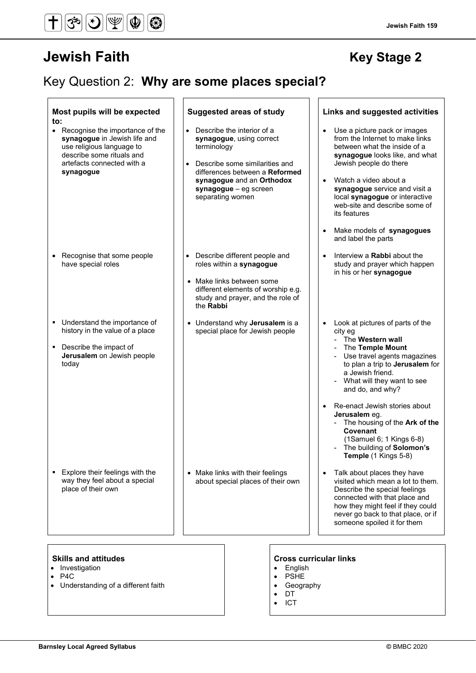#### $\textcircled{\textcircled{\#}}(\textcircled{\textcircled{\#}})$  $\overline{\bm{\mathsf{t}}}$  $\left|\mathcal{\r{S}}\right|$  $|\circledast|$

# **Jewish Faith Contract Contract Contract Contract Contract Contract Contract Contract Contract Contract Contract Contract Contract Contract Contract Contract Contract Contract Contract Contract Contract Contract Contract C**

## Key Question 2: **Why are some places special?**

| Most pupils will be expected<br>to:<br>$\bullet$<br>Recognise the importance of the<br>synagogue in Jewish life and<br>use religious language to<br>describe some rituals and<br>artefacts connected with a<br>synagogue | <b>Suggested areas of study</b><br>• Describe the interior of a<br>synagogue, using correct<br>terminology<br>Describe some similarities and<br>$\bullet$<br>differences between a Reformed<br>synagogue and an Orthodox<br>synagogue - eg screen<br>separating women | Links and suggested activities<br>Use a picture pack or images<br>$\bullet$<br>from the Internet to make links<br>between what the inside of a<br>synagogue looks like, and what<br>Jewish people do there<br>Watch a video about a<br>$\bullet$<br>synagogue service and visit a<br>local synagogue or interactive<br>web-site and describe some of<br>its features                                           |
|--------------------------------------------------------------------------------------------------------------------------------------------------------------------------------------------------------------------------|-----------------------------------------------------------------------------------------------------------------------------------------------------------------------------------------------------------------------------------------------------------------------|----------------------------------------------------------------------------------------------------------------------------------------------------------------------------------------------------------------------------------------------------------------------------------------------------------------------------------------------------------------------------------------------------------------|
| • Recognise that some people<br>have special roles                                                                                                                                                                       | Describe different people and<br>roles within a synagogue<br>Make links between some<br>different elements of worship e.g.<br>study and prayer, and the role of<br>the Rabbi                                                                                          | Make models of synagogues<br>and label the parts<br>Interview a Rabbi about the<br>$\bullet$<br>study and prayer which happen<br>in his or her synagogue                                                                                                                                                                                                                                                       |
| Understand the importance of<br>history in the value of a place<br>Describe the impact of<br>$\blacksquare$<br>Jerusalem on Jewish people<br>today                                                                       | • Understand why Jerusalem is a<br>special place for Jewish people                                                                                                                                                                                                    | Look at pictures of parts of the<br>city eg<br>The Western wall<br>The Temple Mount<br>Use travel agents magazines<br>to plan a trip to Jerusalem for<br>a Jewish friend.<br>What will they want to see<br>and do, and why?<br>Re-enact Jewish stories about<br>Jerusalem eg.<br>The housing of the Ark of the<br>Covenant<br>$(1$ Samuel 6; 1 Kings 6-8)<br>The building of Solomon's<br>Temple (1 Kings 5-8) |
| Explore their feelings with the<br>way they feel about a special<br>place of their own                                                                                                                                   | • Make links with their feelings<br>about special places of their own                                                                                                                                                                                                 | Talk about places they have<br>visited which mean a lot to them.<br>Describe the special feelings<br>connected with that place and<br>how they might feel if they could<br>never go back to that place, or if<br>someone spoiled it for them                                                                                                                                                                   |
| <b>Skills and attitudes</b>                                                                                                                                                                                              |                                                                                                                                                                                                                                                                       | <b>Cross curricular links</b>                                                                                                                                                                                                                                                                                                                                                                                  |

- Investigation
- P4C
- Understanding of a different faith

- English
- PSHE
- Geography
- DT
- ICT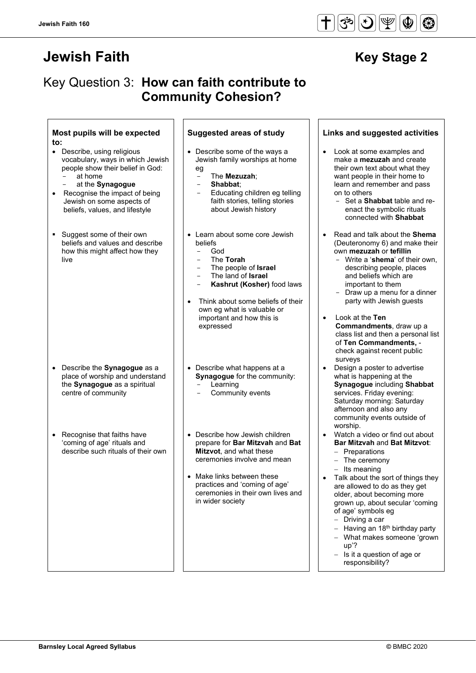# **Jewish Faith Access 19** New Stage 2

## Key Question 3: **How can faith contribute to Community Cohesion?**

#### **Most pupils will be expected to:**

- Describe, using religious vocabulary, ways in which Jewish people show their belief in God: at home
	- at the **Synagogue**
- Recognise the impact of being Jewish on some aspects of beliefs, values, and lifestyle
- Suggest some of their own beliefs and values and describe how this might affect how they live

- Describe the **Synagogue** as a place of worship and understand the **Synagogue** as a spiritual centre of community
- Recognise that faiths have 'coming of age' rituals and describe such rituals of their own

- Describe some of the ways a Jewish family worships at home
	- eg - The **Mezuzah**;
	- **Shabbat**;
	- Educating children eg telling faith stories, telling stories about Jewish history
- Learn about some core Jewish beliefs
	- God
	- The **Torah**
	- The people of **Israel**
	- The land of **Israel**
	- Kashrut (Kosher) food laws
- Think about some beliefs of their own eg what is valuable or important and how this is expressed
- Describe what happens at a **Synagogue** for the community: **Learning** 
	- Community events
- Describe how Jewish children prepare for **Bar Mitzvah** and **Bat Mitzvot**, and what these ceremonies involve and mean
- Make links between these practices and 'coming of age' ceremonies in their own lives and in wider society

#### **Suggested areas of study Links and suggested activities**

- Look at some examples and make a **mezuzah** and create their own text about what they want people in their home to learn and remember and pass on to others
	- Set a **Shabbat** table and reenact the symbolic rituals connected with **Shabbat**
- Read and talk about the **Shema** (Deuteronomy 6) and make their own **mezuzah** or **tefillin**
	- Write a '**shema**' of their own, describing people, places and beliefs which are important to them
	- Draw up a menu for a dinner party with Jewish guests
- Look at the **Ten Commandments**, draw up a class list and then a personal list of **Ten Commandments,**  check against recent public surveys
- Design a poster to advertise what is happening at the **Synagogue** including **Shabbat** services. Friday evening: Saturday morning: Saturday afternoon and also any community events outside of worship.
- Watch a video or find out about **Bar Mitzvah** and **Bat Mitzvot**:
	- − Preparations
	- The ceremony
	- − Its meaning
- Talk about the sort of things they are allowed to do as they get older, about becoming more grown up, about secular 'coming of age' symbols eg
	- − Driving a car
	- Having an 18<sup>th</sup> birthday party
	- − What makes someone 'grown up'?
	- − Is it a question of age or responsibility?

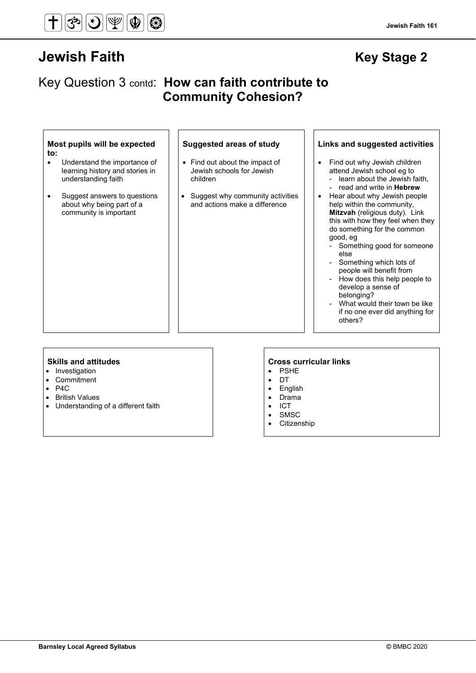## **Jewish Faith Contract Contract Contract Contract Contract Contract Contract Contract Contract Contract Contract Contract Contract Contract Contract Contract Contract Contract Contract Contract Contract Contract Contract C**

## Key Question 3 contd: **How can faith contribute to Community Cohesion?**

#### **Most pupils will be expected to:**

- Understand the importance of learning history and stories in understanding faith
- Suggest answers to questions about why being part of a community is important

- Find out about the impact of Jewish schools for Jewish children
- Suggest why community activities and actions make a difference

### **Suggested areas of study Links and suggested activities**

- Find out why Jewish children attend Jewish school eg to learn about the Jewish faith,
	- read and write in **Hebrew**
- Hear about why Jewish people help within the community, **Mitzvah** (religious duty). Link this with how they feel when they do something for the common good, eg
	- Something good for someone else
	- Something which lots of people will benefit from
	- How does this help people to develop a sense of belonging?
	- What would their town be like if no one ever did anything for others?

- Investigation
- Commitment
- P4C
- British Values
- Understanding of a different faith

- PSHE
- DT
- **English**
- Drama
- ICT
- **SMSC**
- **Citizenship**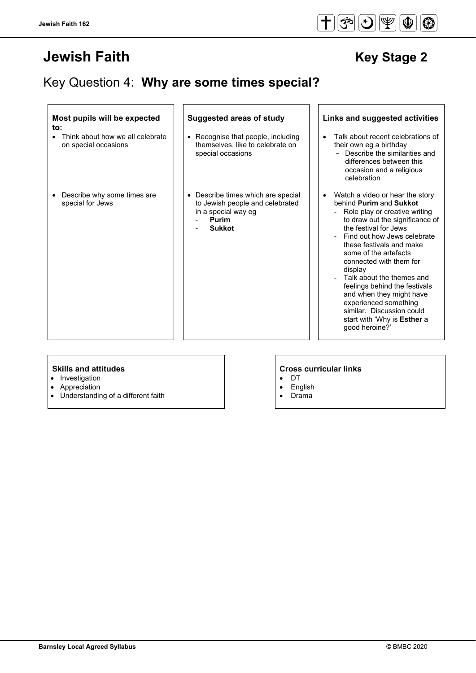# **Jewish Faith Access 19 Jewish Faith** Key Stage 2

# Key Question 4: **Why are some times special?**

#### **Most pupils will be expected to:**

- Think about how we all celebrate on special occasions
- Describe why some times are special for Jews

- Recognise that people, including themselves, like to celebrate on special occasions
- Describe times which are special to Jewish people and celebrated in a special way eg
	- **Purim**
	- **Sukkot**

#### **Suggested areas of study Links and suggested activities**

- Talk about recent celebrations of their own eg a birthday - Describe the similarities and differences between this occasion and a religious celebration
- Watch a video or hear the story behind **Purim** and **Sukkot**
	- Role play or creative writing to draw out the significance of the festival for Jews
	- Find out how Jews celebrate these festivals and make some of the artefacts connected with them for display
	- Talk about the themes and feelings behind the festivals and when they might have experienced something similar. Discussion could start with 'Why is **Esther** a good heroine?'

- Investigation
- **Appreciation**
- Understanding of a different faith

- DT • English
- Drama

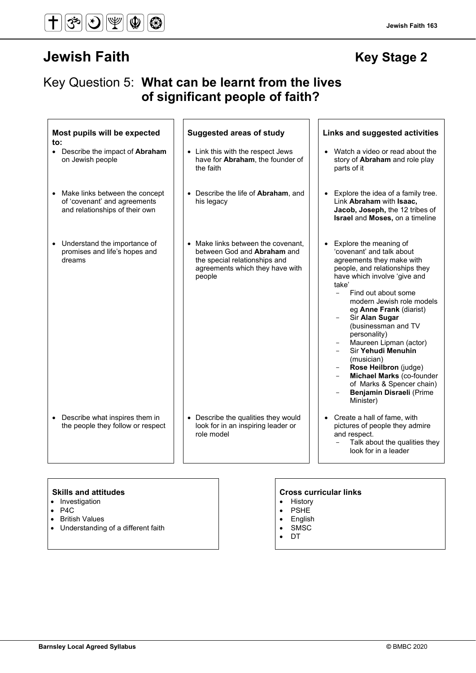# **Jewish Faith Manual Accord Contract Contract Contract Contract Contract Contract Contract Contract Contract Contract Contract Contract Contract Contract Contract Contract Contract Contract Contract Contract Contract Contr**

#### **Jewish Faith 163**

## Key Question 5: **What can be learnt from the lives of significant people of faith?**

| Most pupils will be expected<br>$\mathbf{to}$ :                                                  | <b>Suggested areas of study</b>                                                                                                                 | Links and suggested activities                                                                                                                                                                                                                                                                                                                                                                                                                                                                                                |
|--------------------------------------------------------------------------------------------------|-------------------------------------------------------------------------------------------------------------------------------------------------|-------------------------------------------------------------------------------------------------------------------------------------------------------------------------------------------------------------------------------------------------------------------------------------------------------------------------------------------------------------------------------------------------------------------------------------------------------------------------------------------------------------------------------|
| • Describe the impact of Abraham<br>on Jewish people                                             | • Link this with the respect Jews<br>have for Abraham, the founder of<br>the faith                                                              | • Watch a video or read about the<br>story of Abraham and role play<br>parts of it                                                                                                                                                                                                                                                                                                                                                                                                                                            |
| Make links between the concept<br>of 'covenant' and agreements<br>and relationships of their own | • Describe the life of <b>Abraham</b> , and<br>his legacy                                                                                       | Explore the idea of a family tree.<br>$\bullet$<br>Link Abraham with Isaac,<br>Jacob, Joseph, the 12 tribes of<br>Israel and Moses, on a timeline                                                                                                                                                                                                                                                                                                                                                                             |
| Understand the importance of<br>$\bullet$<br>promises and life's hopes and<br>dreams             | • Make links between the covenant.<br>between God and Abraham and<br>the special relationships and<br>agreements which they have with<br>people | Explore the meaning of<br>$\bullet$<br>'covenant' and talk about<br>agreements they make with<br>people, and relationships they<br>have which involve 'give and<br>take'<br>Find out about some<br>$\equiv$<br>modern Jewish role models<br>eg Anne Frank (diarist)<br>Sir Alan Sugar<br>(businessman and TV<br>personality)<br>Maureen Lipman (actor)<br>Sir Yehudi Menuhin<br>(musician)<br>Rose Heilbron (judge)<br>Michael Marks (co-founder<br>of Marks & Spencer chain)<br><b>Benjamin Disraeli (Prime</b><br>Minister) |
| Describe what inspires them in<br>$\bullet$<br>the people they follow or respect                 | • Describe the qualities they would<br>look for in an inspiring leader or<br>role model                                                         | • Create a hall of fame, with<br>pictures of people they admire<br>and respect.<br>Talk about the qualities they<br>$\overline{\phantom{a}}$<br>look for in a leader                                                                                                                                                                                                                                                                                                                                                          |

- Investigation
- P4C
- British Values
- Understanding of a different faith

- History
- PSHE
- English
- SMSC
- DT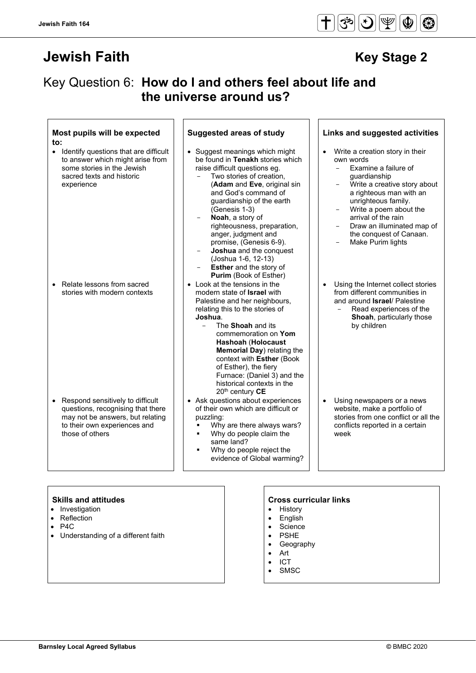# **Jewish Faith Access 19 Jewish Faith**

## Key Question 6: **How do I and others feel about life and the universe around us?**

#### **Most pupils will be expected to:**

• Identify questions that are difficult to answer which might arise from some stories in the Jewish sacred texts and historic experience

• Relate lessons from sacred stories with modern contexts

• Respond sensitively to difficult questions, recognising that there may not be answers, but relating to their own experiences and those of others

- Suggest meanings which might be found in **Tenakh** stories which raise difficult questions eg.
	- Two stories of creation, (**Adam** and **Eve**, original sin and God's command of guardianship of the earth (Genesis 1-3)
	- **Noah**, a story of righteousness, preparation, anger, judgment and promise, (Genesis 6-9).
	- **Joshua** and the conquest (Joshua 1-6, 12-13)
	- **Esther** and the story of **Purim** (Book of Esther)
- Look at the tensions in the modern state of **Israel** with Palestine and her neighbours, relating this to the stories of **Joshua**.
	- The **Shoah** and its commemoration on **Yom Hashoah** (**Holocaust Memorial Day**) relating the context with **Esther** (Book of Esther), the fiery Furnace: (Daniel 3) and the historical contexts in the 20th century **CE**
- Ask questions about experiences of their own which are difficult or puzzling:
	- Why are there always wars?
	- Why do people claim the same land?
	- Why do people reject the evidence of Global warming?

#### **Suggested areas of study Links and suggested activities**

- Write a creation story in their own words
	- Examine a failure of guardianship
	- Write a creative story about a righteous man with an unrighteous family.
	- Write a poem about the arrival of the rain
	- Draw an illuminated map of the conquest of Canaan.
	- Make Purim lights
- Using the Internet collect stories from different communities in and around **Israel**/ Palestine
	- Read experiences of the **Shoah**, particularly those by children
- Using newspapers or a news website, make a portfolio of stories from one conflict or all the conflicts reported in a certain week

- Investigation
- **Reflection**
- $P4C$
- Understanding of a different faith

- **History**
- **English**
- **Science**
- **PSHE**
- **Geography**
- Art
- ICT
- **SMSC**

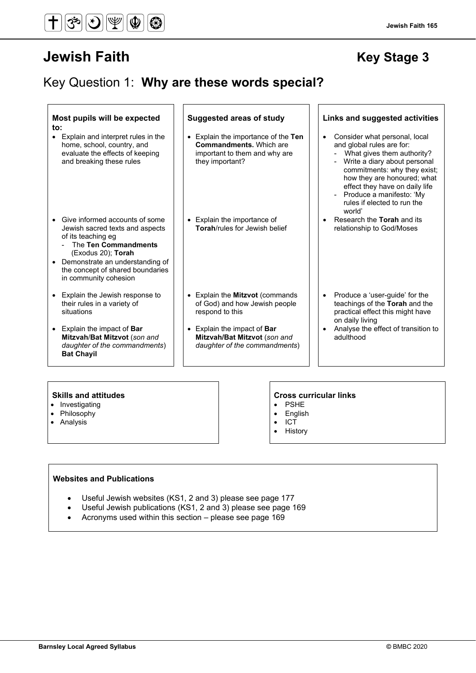## **Jewish Faith Manual Contract Contract Contract Contract Contract Contract Contract Contract Contract Contract Contract Contract Contract Contract Contract Contract Contract Contract Contract Contract Contract Contract Con**

## Key Question 1: **Why are these words special?**

| Most pupils will be expected<br>to:                                                                                                                                                                                                                | <b>Suggested areas of study</b>                                                                                           | Links and suggested activities                                                                                                                                                                                                                                                                                                          |
|----------------------------------------------------------------------------------------------------------------------------------------------------------------------------------------------------------------------------------------------------|---------------------------------------------------------------------------------------------------------------------------|-----------------------------------------------------------------------------------------------------------------------------------------------------------------------------------------------------------------------------------------------------------------------------------------------------------------------------------------|
| Explain and interpret rules in the<br>$\bullet$<br>home, school, country, and<br>evaluate the effects of keeping<br>and breaking these rules                                                                                                       | • Explain the importance of the Ten<br><b>Commandments.</b> Which are<br>important to them and why are<br>they important? | Consider what personal, local<br>$\bullet$<br>and global rules are for:<br>What gives them authority?<br>Write a diary about personal<br>commitments: why they exist;<br>how they are honoured; what<br>effect they have on daily life<br>Produce a manifesto: 'My<br>$\overline{\phantom{a}}$<br>rules if elected to run the<br>world' |
| Give informed accounts of some<br>Jewish sacred texts and aspects<br>of its teaching eg<br>The Ten Commandments<br>(Exodus 20); Torah<br>Demonstrate an understanding of<br>$\bullet$<br>the concept of shared boundaries<br>in community cohesion | • Explain the importance of<br>Torah/rules for Jewish belief                                                              | Research the Torah and its<br>$\bullet$<br>relationship to God/Moses                                                                                                                                                                                                                                                                    |
| Explain the Jewish response to<br>$\bullet$<br>their rules in a variety of<br>situations                                                                                                                                                           | • Explain the Mitzvot (commands<br>of God) and how Jewish people<br>respond to this                                       | Produce a 'user-guide' for the<br>$\bullet$<br>teachings of the Torah and the<br>practical effect this might have<br>on daily living                                                                                                                                                                                                    |
| Explain the impact of Bar<br>$\bullet$<br>Mitzvah/Bat Mitzvot (son and<br>daughter of the commandments)<br><b>Bat Chayil</b>                                                                                                                       | • Explain the impact of Bar<br>Mitzvah/Bat Mitzvot (son and<br>daughter of the commandments)                              | Analyse the effect of transition to<br>$\bullet$<br>adulthood                                                                                                                                                                                                                                                                           |
|                                                                                                                                                                                                                                                    |                                                                                                                           |                                                                                                                                                                                                                                                                                                                                         |

- Investigating
- Philosophy
- Analysis

#### **Skills and attitudes Cross curricular links**

- PSHE
- English • ICT
- **History**

#### **Websites and Publications**

- Useful Jewish websites (KS1, 2 and 3) please see page 177
- Useful Jewish publications (KS1, 2 and 3) please see page 169
- Acronyms used within this section please see page 169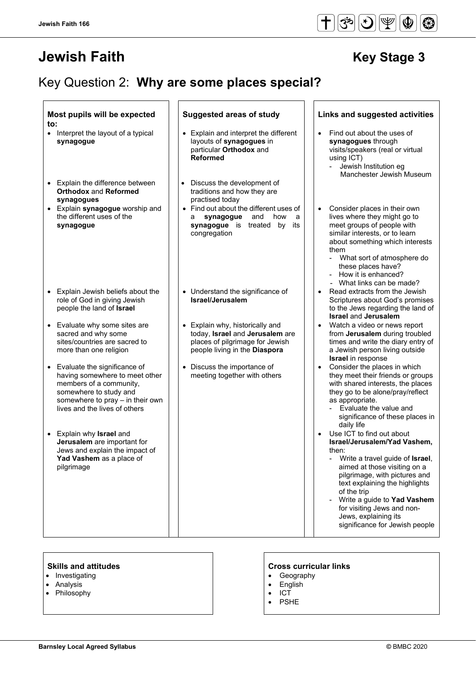# **Jewish Faith Manual Stage 3**

# Key Question 2: **Why are some places special?**

| Most pupils will be expected<br>$\mathsf{to}$ :                                                                                                                                                       | <b>Suggested areas of study</b>                                                                                                                                                           | Links and suggested activities                                                                                                                                                                                                                                                                                                                   |
|-------------------------------------------------------------------------------------------------------------------------------------------------------------------------------------------------------|-------------------------------------------------------------------------------------------------------------------------------------------------------------------------------------------|--------------------------------------------------------------------------------------------------------------------------------------------------------------------------------------------------------------------------------------------------------------------------------------------------------------------------------------------------|
| • Interpret the layout of a typical<br>synagogue<br>Explain the difference between<br>$\bullet$<br><b>Orthodox and Reformed</b>                                                                       | • Explain and interpret the different<br>layouts of synagogues in<br>particular Orthodox and<br><b>Reformed</b><br>Discuss the development of<br>$\bullet$<br>traditions and how they are | Find out about the uses of<br>$\bullet$<br>synagogues through<br>visits/speakers (real or virtual<br>using ICT)<br>Jewish Institution eg<br>$\overline{\phantom{0}}$<br>Manchester Jewish Museum                                                                                                                                                 |
| synagogues<br>• Explain synagogue worship and<br>the different uses of the<br>synagogue                                                                                                               | practised today<br>• Find out about the different uses of<br>synagogue<br>and<br>how<br>a<br>a<br>synagogue is treated<br>by<br>its<br>congregation                                       | Consider places in their own<br>$\bullet$<br>lives where they might go to<br>meet groups of people with<br>similar interests, or to learn<br>about something which interests<br>them<br>What sort of atmosphere do<br>these places have?<br>- How it is enhanced?<br>- What links can be made?                                                   |
| Explain Jewish beliefs about the<br>$\bullet$<br>role of God in giving Jewish<br>people the land of Israel                                                                                            | • Understand the significance of<br>Israel/Jerusalem                                                                                                                                      | Read extracts from the Jewish<br>$\bullet$<br>Scriptures about God's promises<br>to the Jews regarding the land of<br><b>Israel and Jerusalem</b>                                                                                                                                                                                                |
| Evaluate why some sites are<br>$\bullet$<br>sacred and why some<br>sites/countries are sacred to<br>more than one religion                                                                            | • Explain why, historically and<br>today, Israel and Jerusalem are<br>places of pilgrimage for Jewish<br>people living in the Diaspora                                                    | Watch a video or news report<br>from Jerusalem during troubled<br>times and write the diary entry of<br>a Jewish person living outside<br><b>Israel</b> in response                                                                                                                                                                              |
| Evaluate the significance of<br>$\bullet$<br>having somewhere to meet other<br>members of a community,<br>somewhere to study and<br>somewhere to pray - in their own<br>lives and the lives of others | Discuss the importance of<br>meeting together with others                                                                                                                                 | Consider the places in which<br>they meet their friends or groups<br>with shared interests, the places<br>they go to be alone/pray/reflect<br>as appropriate.<br>Evaluate the value and<br>significance of these places in<br>daily life                                                                                                         |
| Explain why <b>Israel</b> and<br>$\bullet$<br>Jerusalem are important for<br>Jews and explain the impact of<br>Yad Vashem as a place of<br>pilgrimage                                                 |                                                                                                                                                                                           | Use ICT to find out about<br>Israel/Jerusalem/Yad Vashem,<br>then:<br>- Write a travel guide of Israel,<br>aimed at those visiting on a<br>pilgrimage, with pictures and<br>text explaining the highlights<br>of the trip<br>Write a guide to Yad Vashem<br>for visiting Jews and non-<br>Jews, explaining its<br>significance for Jewish people |

- Investigating
- Analysis
- Philosophy

#### **Skills and attitudes CRS CRS CRS CRS CRS CRS CRS CRS CRS CRS CRS CRS CRS CRS CRS CRS CRS CRS CRS CRS CRS CRS CRS CRS CRS CRS CRS CRS CRS CRS CRS CRS CRS**

- Geography
- English
- ICT
- PSHE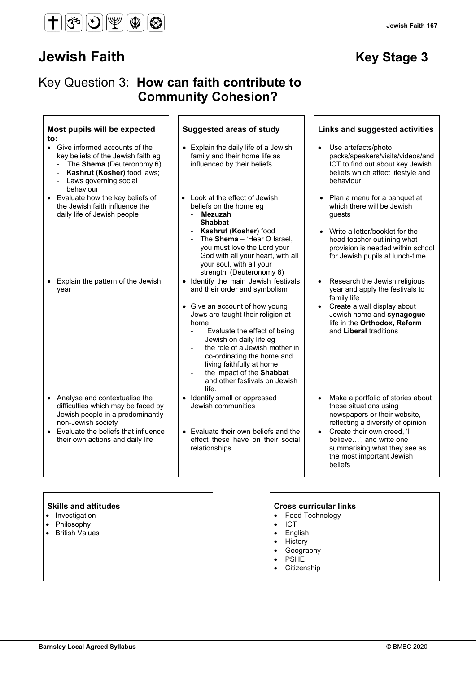# **Jewish Faith Manual Accord Accord Accord Accord Accord Accord Accord Accord Accord Accord Accord Accord Accord**

## Key Question 3: **How can faith contribute to Community Cohesion?**

| Most pupils will be expected<br>$\mathsf{to}$ :                                                                                                                             | <b>Suggested areas of study</b>                                                                                                                                                                                                                                                                            | <b>Links and suggested activities</b>                                                                                                                       |
|-----------------------------------------------------------------------------------------------------------------------------------------------------------------------------|------------------------------------------------------------------------------------------------------------------------------------------------------------------------------------------------------------------------------------------------------------------------------------------------------------|-------------------------------------------------------------------------------------------------------------------------------------------------------------|
| • Give informed accounts of the<br>key beliefs of the Jewish faith eg<br>- The Shema (Deuteronomy 6)<br>Kashrut (Kosher) food laws;<br>- Laws governing social<br>behaviour | Explain the daily life of a Jewish<br>family and their home life as<br>influenced by their beliefs                                                                                                                                                                                                         | Use artefacts/photo<br>$\bullet$<br>packs/speakers/visits/videos/and<br>ICT to find out about key Jewish<br>beliefs which affect lifestyle and<br>behaviour |
| • Evaluate how the key beliefs of<br>the Jewish faith influence the<br>daily life of Jewish people                                                                          | • Look at the effect of Jewish<br>beliefs on the home eg<br><b>Mezuzah</b><br><b>Shabbat</b>                                                                                                                                                                                                               | • Plan a menu for a banquet at<br>which there will be Jewish<br>guests                                                                                      |
|                                                                                                                                                                             | Kashrut (Kosher) food<br>The Shema - 'Hear O Israel,<br>you must love the Lord your<br>God with all your heart, with all<br>your soul, with all your<br>strength' (Deuteronomy 6)                                                                                                                          | • Write a letter/booklet for the<br>head teacher outlining what<br>provision is needed within school<br>for Jewish pupils at lunch-time                     |
| Explain the pattern of the Jewish<br>$\bullet$<br>year                                                                                                                      | • Identify the main Jewish festivals<br>and their order and symbolism                                                                                                                                                                                                                                      | Research the Jewish religious<br>$\bullet$<br>year and apply the festivals to<br>family life                                                                |
|                                                                                                                                                                             | • Give an account of how young<br>Jews are taught their religion at<br>home<br>Evaluate the effect of being<br>Jewish on daily life eg<br>the role of a Jewish mother in<br>co-ordinating the home and<br>living faithfully at home<br>the impact of the Shabbat<br>and other festivals on Jewish<br>life. | Create a wall display about<br>Jewish home and synagogue<br>life in the Orthodox, Reform<br>and Liberal traditions                                          |
| • Analyse and contextualise the<br>difficulties which may be faced by<br>Jewish people in a predominantly<br>non-Jewish society                                             | Identify small or oppressed<br>$\bullet$<br>Jewish communities                                                                                                                                                                                                                                             | Make a portfolio of stories about<br>$\bullet$<br>these situations using<br>newspapers or their website,<br>reflecting a diversity of opinion               |
| • Evaluate the beliefs that influence<br>their own actions and daily life                                                                                                   | • Evaluate their own beliefs and the<br>effect these have on their social<br>relationships                                                                                                                                                                                                                 | Create their own creed, 'I<br>$\bullet$<br>believe', and write one<br>summarising what they see as<br>the most important Jewish<br>beliefs                  |

- Investigation
- Philosophy
- British Values

- Food Technology
- ICT
- English
- History
- Geography
- PSHE
- **Citizenship**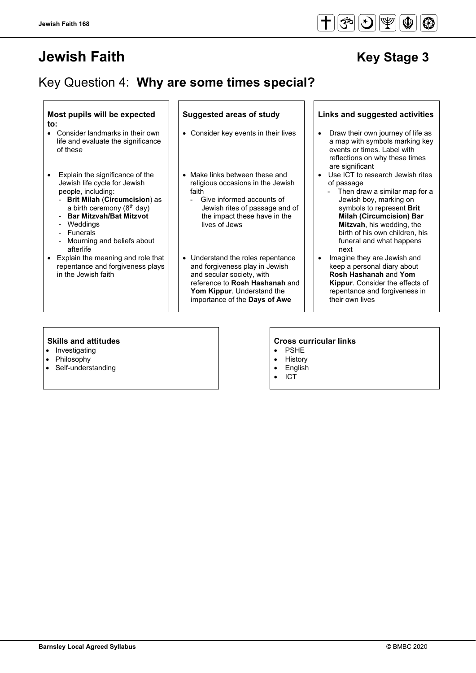# **Jewish Faith Access 19 Jewish Faith** Access 19 Jewish Access 19 Jewish Access 19 Jewish Access 19 Jewish Access

# Key Question 4: **Why are some times special?**

#### **Most pupils will be expected to:**

- Consider landmarks in their own life and evaluate the significance of these
- Explain the significance of the Jewish life cycle for Jewish people, including:
	- **Brit Milah** (**Circumcision**) as a birth ceremony  $(8<sup>th</sup>$  day)
	- **Bar Mitzvah/Bat Mitzvot**
	- Weddings
	- **Funerals**
	- Mourning and beliefs about afterlife
- Explain the meaning and role that repentance and forgiveness plays in the Jewish faith

- 
- Make links between these and religious occasions in the Jewish faith
	- Give informed accounts of Jewish rites of passage and of the impact these have in the lives of Jews
- Understand the roles repentance and forgiveness play in Jewish and secular society, with reference to **Rosh Hashanah** and **Yom Kippur**. Understand the importance of the **Days of Awe**

#### **Suggested areas of study Links and suggested activities**

- Consider key events in their lives  $\|\cdot\|$  Draw their own journey of life as a map with symbols marking key events or times. Label with reflections on why these times are significant
	- Use ICT to research Jewish rites of passage
		- Then draw a similar map for a Jewish boy, marking on symbols to represent **Brit Milah (Circumcision) Bar Mitzvah**, his wedding, the birth of his own children, his funeral and what happens next
	- Imagine they are Jewish and keep a personal diary about **Rosh Hashanah** and **Yom Kippur**. Consider the effects of repentance and forgiveness in their own lives

- Investigating
- Philosophy
- Self-understanding

- **PSHE**
- **History**
- **English**
- ICT

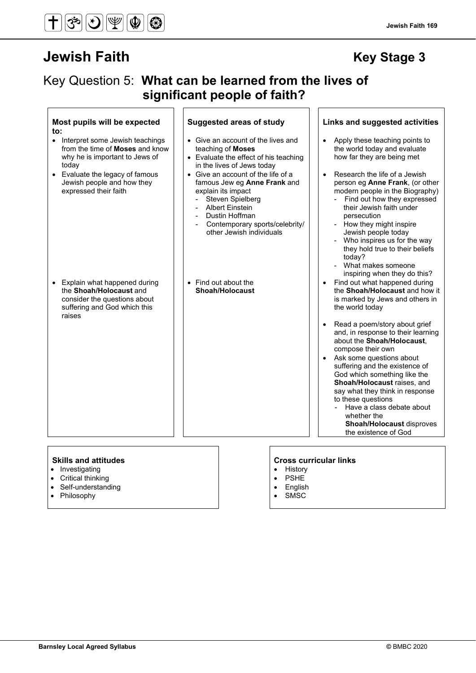# $|\mathcal{F}|$

# **Jewish Faith Key Stage 3**

## Key Question 5: **What can be learned from the lives of significant people of faith?**

#### **Most pupils will be expected to: Suggested areas of study Links and suggested activities** • Interpret some Jewish teachings from the time of **Moses** and know why he is important to Jews of today • Give an account of the lives and teaching of **Moses** • Evaluate the effect of his teaching in the lives of Jews today • Apply these teaching points to the world today and evaluate how far they are being met • Evaluate the legacy of famous Jewish people and how they expressed their faith • Give an account of the life of a famous Jew eg **Anne Frank** and explain its impact Steven Spielberg Albert Einstein Dustin Hoffman Contemporary sports/celebrity/ other Jewish individuals • Research the life of a Jewish person eg **Anne Frank**, (or other modern people in the Biography) Find out how they expressed their Jewish faith under persecution How they might inspire Jewish people today Who inspires us for the way they hold true to their beliefs today? What makes someone inspiring when they do this? • Explain what happened during the **Shoah/Holocaust** and consider the questions about suffering and God which this raises • Find out about the **Shoah/Holocaust** Find out what happened during the **Shoah/Holocaust** and how it is marked by Jews and others in the world today • Read a poem/story about grief and, in response to their learning about the **Shoah/Holocaust**, compose their own Ask some questions about suffering and the existence of God which something like the **Shoah/Holocaust** raises, and say what they think in response to these questions Have a class debate about whether the **Shoah/Holocaust** disproves the existence of God

- Investigating
- **Critical thinking**
- Self-understanding
- Philosophy

#### **Skills and attitudes Cross curricular links**

- **History**
- **PSHE**
- **English SMSC**
- 

#### **Jewish Faith 169**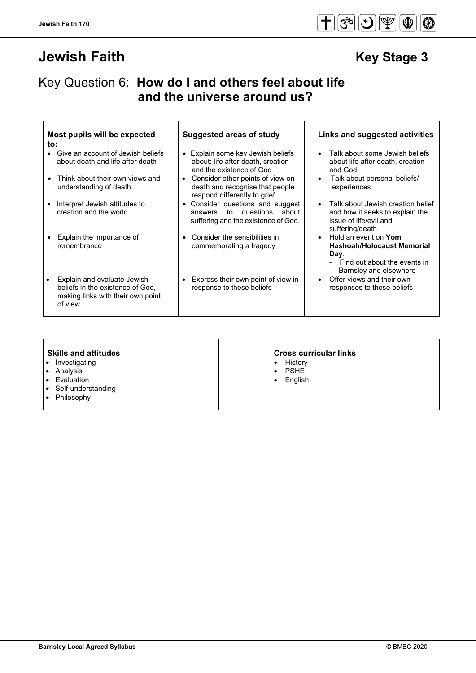# **Jewish Faith Access 19 Jewish Faith** Access 19 Jewish Access 19 Jewish Access 19 Jewish Access 19 Jewish Access

## Key Question 6: **How do I and others feel about life and the universe around us?**

| Most pupils will be expected |  |  |
|------------------------------|--|--|
| to:                          |  |  |

- Give an account of Jewish beliefs about death and life after death
- Think about their own views and understanding of death
- Interpret Jewish attitudes to creation and the world
- Explain the importance of remembrance
- Explain and evaluate Jewish beliefs in the existence of God, making links with their own point of view

#### • Explain some key Jewish beliefs

- about: life after death, creation and the existence of God
- Consider other points of view on death and recognise that people respond differently to grief
- Consider questions and suggest answers to questions about suffering and the existence of God.
- Consider the sensibilities in commemorating a tragedy
- Express their own point of view in response to these beliefs

#### **Suggested areas of study Links and suggested activities**

- Talk about some Jewish beliefs about life after death, creation and God
- Talk about personal beliefs/ experiences
- Talk about Jewish creation belief and how it seeks to explain the issue of life/evil and suffering/death
- Hold an event on **Yom Hashoah/Holocaust Memorial Day**.
	- Find out about the events in Barnsley and elsewhere
- Offer views and their own responses to these beliefs

- Investigating
- Analysis
- Evaluation
- Self-understanding
- Philosophy

- History
- PSHE
- English

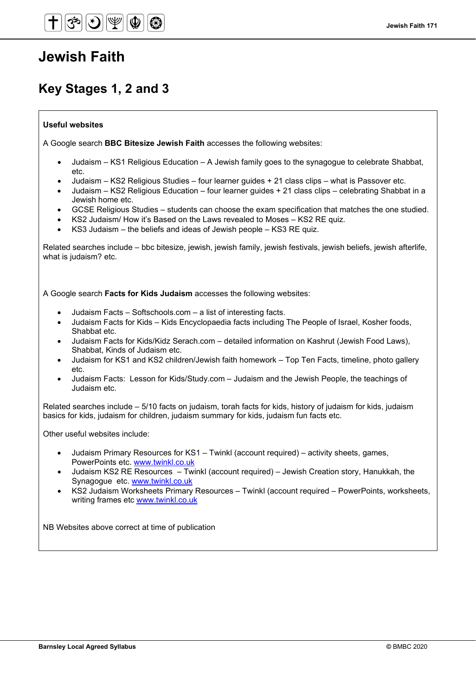## **Key Stages 1, 2 and 3**

#### **Useful websites**

A Google search **BBC Bitesize Jewish Faith** accesses the following websites:

- Judaism KS1 Religious Education A Jewish family goes to the synagogue to celebrate Shabbat, etc.
- Judaism KS2 Religious Studies four learner guides + 21 class clips what is Passover etc.
- Judaism KS2 Religious Education four learner guides + 21 class clips celebrating Shabbat in a Jewish home etc.
- GCSE Religious Studies students can choose the exam specification that matches the one studied.
- KS2 Judaism/ How it's Based on the Laws revealed to Moses KS2 RE quiz.
- KS3 Judaism the beliefs and ideas of Jewish people KS3 RE quiz.

Related searches include – bbc bitesize, jewish, jewish family, jewish festivals, jewish beliefs, jewish afterlife, what is judaism? etc.

A Google search **Facts for Kids Judaism** accesses the following websites:

- Judaism Facts Softschools.com a list of interesting facts.
- Judaism Facts for Kids Kids Encyclopaedia facts including The People of Israel, Kosher foods, Shabbat etc.
- Judaism Facts for Kids/Kidz Serach.com detailed information on Kashrut (Jewish Food Laws), Shabbat, Kinds of Judaism etc.
- Judaism for KS1 and KS2 children/Jewish faith homework Top Ten Facts, timeline, photo gallery etc.
- Judaism Facts: Lesson for Kids/Study.com Judaism and the Jewish People, the teachings of Judaism etc.

Related searches include – 5/10 facts on judaism, torah facts for kids, history of judaism for kids, judaism basics for kids, judaism for children, judaism summary for kids, judaism fun facts etc.

Other useful websites include:

- Judaism Primary Resources for KS1 Twinkl (account required) activity sheets, games, PowerPoints etc. [www.twinkl.co.uk](http://www.twinkl.co.uk/)
- Judaism KS2 RE Resources Twinkl (account required) Jewish Creation story, Hanukkah, the Synagogue etc. [www.twinkl.co.uk](http://www.twinkl.co.uk/)
- KS2 Judaism Worksheets Primary Resources Twinkl (account required PowerPoints, worksheets, writing frames etc [www.twinkl.co.uk](http://www.twinkl.co.uk/)

NB Websites above correct at time of publication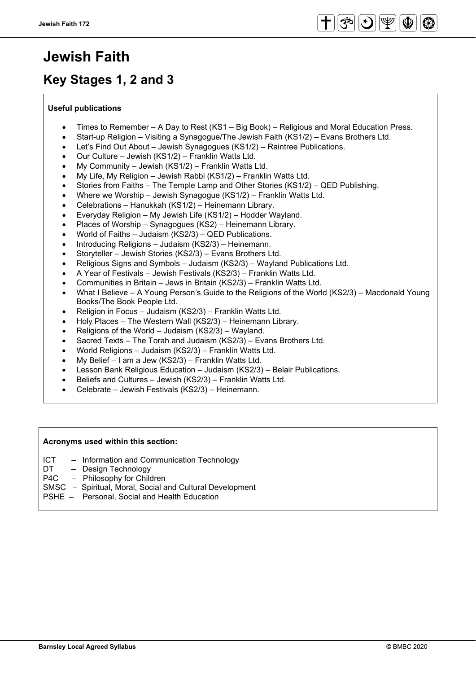# **Key Stages 1, 2 and 3**

### **Useful publications**

- Times to Remember A Day to Rest (KS1 Big Book) Religious and Moral Education Press.
- Start-up Religion Visiting a Synagogue/The Jewish Faith (KS1/2) Evans Brothers Ltd.
- Let's Find Out About Jewish Synagogues (KS1/2) Raintree Publications.
- Our Culture Jewish (KS1/2) Franklin Watts Ltd.
- My Community Jewish (KS1/2) Franklin Watts Ltd.
- My Life, My Religion Jewish Rabbi (KS1/2) Franklin Watts Ltd.
- Stories from Faiths The Temple Lamp and Other Stories (KS1/2) QED Publishing.
- Where we Worship Jewish Synagogue (KS1/2) Franklin Watts Ltd.
- Celebrations Hanukkah (KS1/2) Heinemann Library.
- Everyday Religion My Jewish Life (KS1/2) Hodder Wayland.
- Places of Worship Synagogues (KS2) Heinemann Library.
- World of Faiths Judaism (KS2/3) QED Publications.
- Introducing Religions Judaism (KS2/3) Heinemann.
- Storyteller Jewish Stories (KS2/3) Evans Brothers Ltd.
- Religious Signs and Symbols Judaism (KS2/3) Wayland Publications Ltd.
- A Year of Festivals Jewish Festivals (KS2/3) Franklin Watts Ltd.
- Communities in Britain Jews in Britain (KS2/3) Franklin Watts Ltd.
- What I Believe A Young Person's Guide to the Religions of the World (KS2/3) Macdonald Young Books/The Book People Ltd.
- Religion in Focus Judaism (KS2/3) Franklin Watts Ltd.
- Holy Places The Western Wall (KS2/3) Heinemann Library.
- Religions of the World Judaism (KS2/3) Wayland.
- Sacred Texts The Torah and Judaism (KS2/3) Evans Brothers Ltd.
- World Religions Judaism (KS2/3) Franklin Watts Ltd.
- My Belief I am a Jew (KS2/3) Franklin Watts Ltd.
- Lesson Bank Religious Education Judaism (KS2/3) Belair Publications.
- Beliefs and Cultures Jewish (KS2/3) Franklin Watts Ltd.
- Celebrate Jewish Festivals (KS2/3) Heinemann.

### **Acronyms used within this section:**

- ICT Information and Communication Technology
- DT Design Technology<br>P4C Philosophy for Chilo
- Philosophy for Children
- SMSC Spiritual, Moral, Social and Cultural Development
- PSHE Personal, Social and Health Education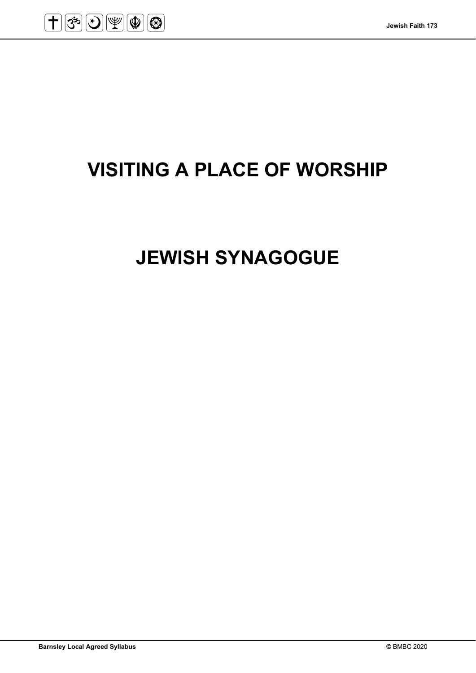

# **VISITING A PLACE OF WORSHIP**

# **JEWISH SYNAGOGUE**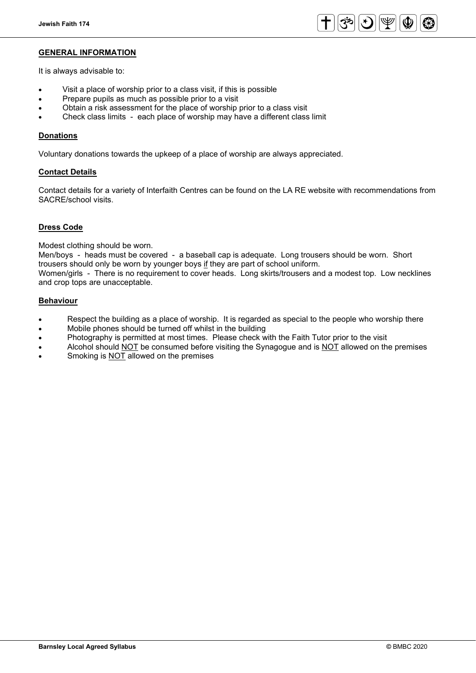

#### **GENERAL INFORMATION**

It is always advisable to:

- Visit a place of worship prior to a class visit, if this is possible
- Prepare pupils as much as possible prior to a visit
- Obtain a risk assessment for the place of worship prior to a class visit
- Check class limits each place of worship may have a different class limit

#### **Donations**

Voluntary donations towards the upkeep of a place of worship are always appreciated.

#### **Contact Details**

Contact details for a variety of Interfaith Centres can be found on the LA RE website with recommendations from SACRE/school visits.

#### **Dress Code**

Modest clothing should be worn.

Men/boys - heads must be covered - a baseball cap is adequate. Long trousers should be worn. Short trousers should only be worn by younger boys if they are part of school uniform. Women/girls - There is no requirement to cover heads. Long skirts/trousers and a modest top. Low necklines and crop tops are unacceptable.

#### **Behaviour**

- Respect the building as a place of worship. It is regarded as special to the people who worship there
- Mobile phones should be turned off whilst in the building
- Photography is permitted at most times. Please check with the Faith Tutor prior to the visit
- Alcohol should NOT be consumed before visiting the Synagogue and is NOT allowed on the premises • Smoking is NOT allowed on the premises
-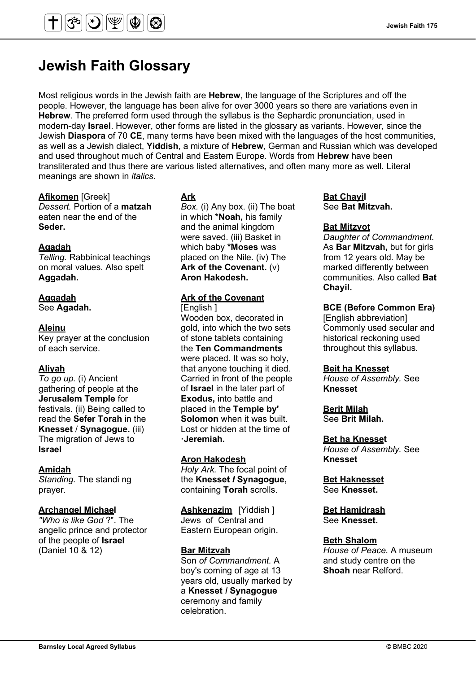## **Jewish Faith Glossary**

Most religious words in the Jewish faith are **Hebrew**, the language of the Scriptures and off the people. However, the language has been alive for over 3000 years so there are variations even in **Hebrew**. The preferred form used through the syllabus is the Sephardic pronunciation, used in modern-day **Israel**. However, other forms are listed in the glossary as variants. However, since the Jewish **Diaspora** of 70 **CE**, many terms have been mixed with the languages of the host communities, as well as a Jewish dialect, **Yiddish**, a mixture of **Hebrew**, German and Russian which was developed and used throughout much of Central and Eastern Europe. Words from **Hebrew** have been transliterated and thus there are various listed alternatives, and often many more as well. Literal meanings are shown in *italics*.

### **Afikomen** [Greek]

*Dessert.* Portion of a **matzah**  eaten near the end of the **Seder.**

#### **Agadah**

*Telling.* Rabbinical teachings on moral values. Also spelt **Aggadah.**

### **Aggadah**

See **Agadah.** 

### **Aleinu**

Key prayer at the conclusion of each service.

### **Aliyah**

*To go up.* (i) Ancient gathering of people at the **Jerusalem Temple** for festivals. (ii) Being called to read the **Sefer Torah** in the **Knesset** / **Synagogue.** (iii) The migration of Jews to **Israel**

#### **Amidah**

*Standing.* The standi ng prayer.

#### **Archangel Michael**

*"Who is like God* ?". The angelic prince and protector of the people of **Israel**  (Daniel 10 & 12)

### **Ark**

*Box.* (i) Any box. (ii) The boat in which **\*Noah,** his family and the animal kingdom were saved. (iii) Basket in which baby **\*Moses** was placed on the Nile. (iv) The **Ark of the Covenant.** (v) **Aron Hakodesh.**

## **Ark of the Covenant**

[English ] Wooden box, decorated in gold, into which the two sets of stone tablets containing the **Ten Commandments**  were placed. It was so holy, that anyone touching it died. Carried in front of the people of **Israel** in the later part of **Exodus,** into battle and placed in the **Temple by' Solomon** when it was built. Lost or hidden at the time of **·Jeremiah.**

#### **Aron Hakodesh**

*Holy Ark.* The focal point of the **Knesset** *I* **Synagogue,**  containing **Torah** scrolls.

**Ashkenazim** [Yiddish ] Jews of Central and Eastern European origin.

### **Bar Mitzvah**

Son *of Commandment.* A boy's coming of age at 13 years old, usually marked by a **Knesset** *I* **Synagogue**  ceremony and family celebration.

#### **Bat Chayil**  See **Bat Mitzvah.**

#### **Bat Mitzvot**

*Daughter of Commandment.*  As **Bar Mitzvah,** but for girls from 12 years old. May be marked differently between communities. Also called **Bat Chayil.**

#### **BCE (Before Common Era)**

[English abbreviation] Commonly used secular and historical reckoning used throughout this syllabus.

#### **Beit ha Knesset**

*House of Assembly.* See **Knesset** 

### **Berit Milah**

See **Brit Milah.** 

#### **Bet ha Knesset**

*House of Assembly.* See **Knesset** 

**Bet Haknesset** See **Knesset.**

**Bet Hamidrash**  See **Knesset.** 

#### **Beth Shalom**

*House of Peace.* A museum and study centre on the **Shoah** near Relford.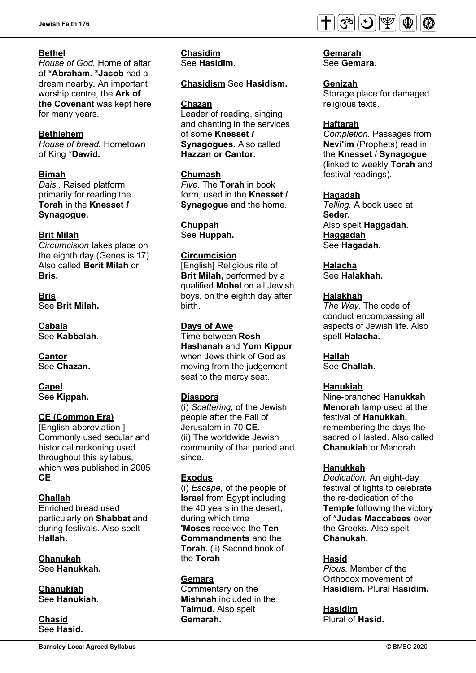### **Bethel**

*House of God.* Home of altar of **\*Abraham. \*Jacob** had a dream nearby. An important worship centre, the **Ark of the Covenant** was kept here for many years.

### **Bethlehem**

*House of bread.* Hometown of King **\*Dawid.**

### **Bimah**

*Dais .* Raised platform primarily for reading the **Torah** in the **Knesset** *I*  **Synagogue.**

#### **Brit Milah**

*Circumcision* takes place on the eighth day (Genes is 17). Also called **Berit Milah** or **Bris.**

**Bris** See **Brit Milah.**

**Cabala** See **Kabbalah.**

**Cantor** See **Chazan.**

**Capel** See **Kippah.**

## **CE (Common Era)**

[English abbreviation ] Commonly used secular and historical reckoning used throughout this syllabus, which was published in 2005 **CE**.

### **Challah**

Enriched bread used particularly on **Shabbat** and during festivals. Also spelt **Hallah.**

**Chanukah** See **Hanukkah.** 

#### **Chanukiah**

See **Hanukiah.**

**Chasid**  See **Hasid.** 

### **Chasidism** See **Hasidism.**

#### **Chazan**

**Chasidim**

Leader of reading, singing and chanting in the services of some **Knesset** *I*  **Synagogues.** Also called **Hazzan or Cantor.** 

### **Chumash**

*Five.* The **Torah** in book form, used in the **Knesset / Synagogue** and the home.

**Chuppah** See **Huppah.**

#### **Circumcision**

[English] Religious rite of **Brit Milah,** performed by a qualified **Mohel** on all Jewish boys, on the eighth day after birth.

**Days of Awe** Time between **Rosh Hashanah** and **Yom Kippur**  when Jews think of God as moving from the judgement

seat to the mercy seat.

#### **Diaspora**

(i) *Scattering,* of the Jewish people after the Fall of Jerusalem in 70 **CE.** (ii) The worldwide Jewish community of that period and since.

### **Exodus**

(i) *Escape,* of the people of **Israel** from Egypt including the 40 years in the desert, during which time **'Moses** received the **Ten Commandments** and the **Torah.** (ii) Second book of the **Torah**

#### **Gemara**

Commentary on the **Mishnah** included in the **Talmud.** Also spelt **Gemarah.**



**Gemarah** See **Gemara.**

### **Genizah**

Storage place for damaged religious texts.

#### **Haftarah**

*Completion.* Passages from **Nevi'im** (Prophets) read in the **Knesset** / **Synagogue**  (linked to weekly **Torah** and festival readings).

#### **Hagadah**

*Telling.* A book used at **Seder.** Also spelt **Haggadah. Haggadah** See **Hagadah.**

**Halacha** See **Halakhah.** 

### **Halakhah**

*The Way.* The code of conduct encompassing all aspects of Jewish life. Also spelt **Halacha.**

### **Hallah**

See **Challah.** 

### **Hanukiah**

Nine-branched **Hanukkah Menorah** lamp used at the festival of **Hanukkah,**  remembering the days the sacred oil lasted. Also called **Chanukiah** or Menorah.

#### **Hanukkah**

*Dedication.* An eight-day festival of lights to celebrate the re-dedication of the **Temple** following the victory of **\*Judas Maccabees** over the Greeks. Also spelt **Chanukah.** 

### **Hasid**

*Pious.* Member of the Orthodox movement of **Hasidism.** Plural **Hasidim.**

**Hasidim** Plural of **Hasid.**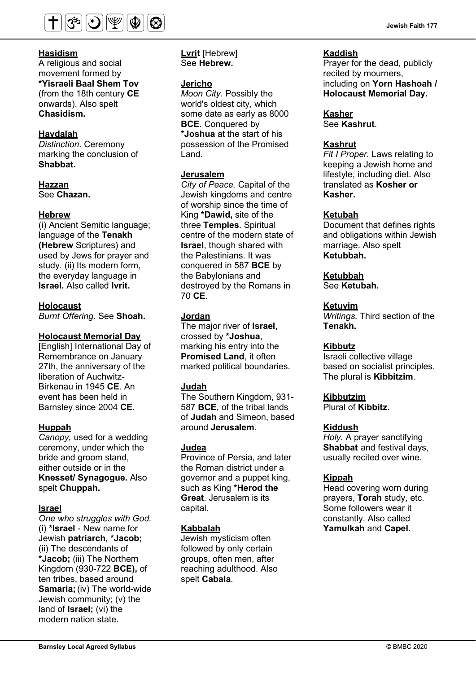

#### **Hasidism**

A religious and social movement formed by **\*Yisraeli Baal Shem Tov**  (from the 18th century **CE**  onwards). Also spelt **Chasidism.**

#### **Havdalah**

*Distinction.* Ceremony marking the conclusion of **Shabbat.**

# **Hazzan**

See **Chazan.**

#### **Hebrew**

(i) Ancient Semitic language; language of the **Tenakh (Hebrew** Scriptures) and used by Jews for prayer and study. (ii) Its modern form, the everyday language in **Israel.** Also called **lvrit.**

#### **Holocaust**

*Burnt Offering.* See **Shoah.**

#### **Holocaust Memorial Day**

[English] International Day of Remembrance on January 27th, the anniversary of the liberation of Auchwitz-Birkenau in 1945 **CE**. An event has been held in Barnsley since 2004 **CE**.

#### **Huppah**

*Canopy,* used for a wedding ceremony, under which the bride and groom stand, either outside or in the **Knesset/ Synagogue.** Also spelt **Chuppah.**

#### **Israel**

*One who struggles with God.*  (i) **\*Israel** - New name for Jewish **patriarch, \*Jacob;**  (ii) The descendants of **\*Jacob;** (iii) The Northern Kingdom (930-722 **BCE),** of ten tribes, based around **Samaria;**(iv) The world-wide Jewish community; (v) the land of **Israel;** (vi) the modern nation state.

**Lvrit** [Hebrew] See **Hebrew.**

#### **Jericho**

*Moon City.* Possibly the world's oldest city, which some date as early as 8000 **BCE**. Conquered by **\*Joshua** at the start of his possession of the Promised Land.

### **Jerusalem**

*City of Peace.* Capital of the Jewish kingdoms and centre of worship since the time of King **\*Dawid,** site of the three **Temples**. Spiritual centre of the modern state of **Israel**, though shared with the Palestinians. It was conquered in 587 **BCE** by the Babylonians and destroyed by the Romans in 70 **CE**.

### **Jordan**

The major river of **Israel**, crossed by **\*Joshua**, marking his entry into the **Promised Land**, it often marked political boundaries.

#### **Judah**

The Southern Kingdom, 931- 587 **BCE**, of the tribal lands of **Judah** and Simeon, based around **Jerusalem**.

#### **Judea**

Province of Persia, and later the Roman district under a governor and a puppet king, such as King **\*Herod the Great**. Jerusalem is its capital.

#### **Kabbalah**

Jewish mysticism often followed by only certain groups, often men, after reaching adulthood. Also spelt **Cabala**.

#### **Kaddish**

Prayer for the dead, publicly recited by mourners, including on **Yorn Hashoah / Holocaust Memorial Day.**

### **Kasher**

See **Kashrut**.

#### **Kashrut**

*Fit I Proper.* Laws relating to keeping a Jewish home and lifestyle, including diet. Also translated as **Kosher or Kasher.** 

#### **Ketubah**

Document that defines rights and obligations within Jewish marriage. Also spelt **Ketubbah.**

#### **Ketubbah**

See **Ketubah.** 

#### **Ketuvim**

*Writings.* Third section of the **Tenakh.**

### **Kibbutz**

Israeli collective village based on socialist principles. The plural is **Kibbitzim**.

### **Kibbutzim**

Plural of **Kibbitz.**

### **Kiddush**

*Holy.* A prayer sanctifying **Shabbat** and festival days, usually recited over wine.

#### **Kippah**

Head covering worn during prayers, **Torah** study, etc. Some followers wear it constantly. Also called **Yamulkah** and **Capel.**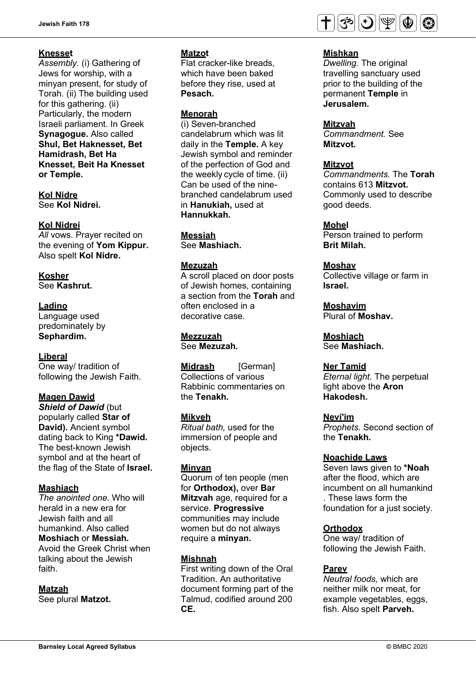### **Knesset**

*Assembly.* (i) Gathering of Jews for worship, with a minyan present, for study of Torah. (ii) The building used for this gathering. (ii) Particularly, the modern Israeli parliament. In Greek **Synagogue.** Also called **Shul, Bet Haknesset, Bet Hamidrash, Bet Ha Knesset, Beit Ha Knesset or Temple.**

**Kol Nidre** See **Kol Nidrei.** 

#### **Kol Nidrei**

All vows. Prayer recited on the evening of **Yom Kippur.**  Also spelt **Kol Nidre.**

**Kosher** See **Kashrut.** 

#### **Ladino**

Language used predominately by **Sephardim.** 

#### **Liberal**

One way/ tradition of following the Jewish Faith.

#### **Magen Dawid**

*Shield of Dawid (but)* popularly called **Star of David).** Ancient symbol dating back to King **\*Dawid.**  The best-known Jewish symbol and at the heart of the flag of the State of **Israel.**

#### **Mashiach**

*The anointed one.* Who will herald in a new era for Jewish faith and all humankind. Also called **Moshiach** or **Messiah.**  Avoid the Greek Christ when talking about the Jewish faith.

#### **Matzah**

See plural **Matzot.**

#### **Matzot**

Flat cracker-like breads, which have been baked before they rise, used at **Pesach.**

#### **Menorah**

(i) Seven-branched candelabrum which was lit daily in the **Temple.** A key Jewish symbol and reminder of the perfection of God and the weekly cycle of time. (ii) Can be used of the ninebranched candelabrum used in **Hanukiah,** used at **Hannukkah.**

**Messiah**

See **Mashiach.**

#### **Mezuzah**

A scroll placed on door posts of Jewish homes, containing a section from the **Torah** and often enclosed in a decorative case.

**Mezzuzah** See **Mezuzah.**

**Midrash** [German] Collections of various Rabbinic commentaries on the **Tenakh.** 

#### **Mikveh**

*Ritual bath,* used for the immersion of people and objects.

#### **Minyan**

Quorum of ten people (men for **Orthodox),** over **Bar Mitzvah** age, required for a service. **Progressive**  communities may include women but do not always require a **minyan.**

#### **Mishnah**

First writing down of the Oral Tradition. An authoritative document forming part of the Talmud, codified around 200 **CE.**



#### **Mishkan**

*Dwelling.* The original travelling sanctuary used prior to the building of the permanent **Temple** in **Jerusalem.**

#### **Mitzvah**

*Commandment.* See **Mitzvot.** 

### **Mitzvot**

*Commandments.* The **Torah**  contains 613 **Mitzvot.**  Commonly used to describe good deeds.

#### **Mohel**

Person trained to perform **Brit Milah.** 

#### **Moshav**

Collective village or farm in **Israel.** 

**Moshavim** Plural of **Moshav.** 

**Moshiach** See **Mashiach.** 

#### **Ner Tamid**

*Eternal light.* The perpetual light above the **Aron Hakodesh.**

#### **Nevi'im**

*Prophets.* Second section of the **Tenakh.** 

#### **Noachide Laws**

Seven laws given to **\*Noah**  after the flood, which are incumbent on all humankind . These laws form the foundation for a just society.

#### **Orthodox**

One way/ tradition of following the Jewish Faith.

#### **Parev**

*Neutral foods,* which are neither milk nor meat, for example vegetables, eggs, fish. Also spelt **Parveh.**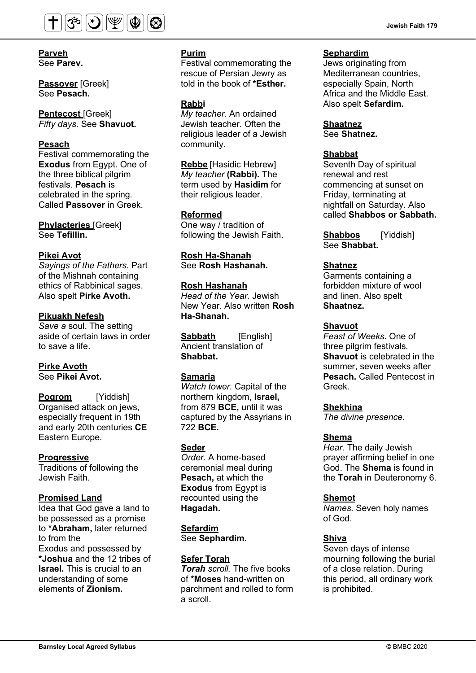

#### **Parveh** See **Parev.**

**Passover** [Greek] See **Pesach.** 

**Pentecost** [Greek] *Fifty days.* See **Shavuot.** 

#### **Pesach**

Festival commemorating the **Exodus** from Egypt. One of the three biblical pilgrim festivals. **Pesach** is celebrated in the spring. Called **Passover** in Greek.

**Phylacteries** [Greek] See **Tefillin.** 

#### **Pikei Avot**

*Sayings of the Fathers.* Part of the Mishnah containing ethics of Rabbinical sages. Also spelt **Pirke Avoth.**

#### **Pikuakh Nefesh**

*Save a* soul. The setting aside of certain laws in order to save a life.

#### **Pirke Avoth** See **Pikei Avot.**

**Pogrom** [Yiddish] Organised attack on jews, especially frequent in 19th and early 20th centuries **CE**  Eastern Europe.

#### **Progressive**

Traditions of following the Jewish Faith.

#### **Promised Land**

Idea that God gave a land to be possessed as a promise to **\*Abraham,** later returned to from the Exodus and possessed by **\*Joshua** and the 12 tribes of **Israel.** This is crucial to an understanding of some elements of **Zionism.**

### **Purim**

Festival commemorating the rescue of Persian Jewry as told in the book of **\*Esther.**

#### **Rabbi**

*My teacher.* An ordained Jewish teacher. Often the religious leader of a Jewish community.

**Rebbe** [Hasidic Hebrew] *My teacher* **(Rabbi).** The term used by **Hasidim** for their religious leader.

#### **Reformed**

One way / tradition of following the Jewish Faith.

**Rosh Ha-Shanah** See **Rosh Hashanah.** 

### **Rosh Hashanah**

*Head of the Year.* Jewish New Year. Also written **Rosh Ha-Shanah.**

**Sabbath** [English] Ancient translation of **Shabbat.**

#### **Samaria**

*Watch tower.* Capital of the northern kingdom, **Israel,**  from 879 **BCE,** until it was captured by the Assyrians in 722 **BCE.**

#### **Seder**

*Order.* A home-based ceremonial meal during **Pesach,** at which the **Exodus** from Egypt is recounted using the **Hagadah.**

### **Sefardim**

See **Sephardim.** 

### **Sefer Torah**

*Torah scroll.* The five books of **\*Moses** hand-written on parchment and rolled to form a scroll.

#### **Sephardim**

Jews originating from Mediterranean countries, especially Spain, North Africa and the Middle East. Also spelt **Sefardim.**

#### **Shaatnez**  See **Shatnez.**

**Shabbat**

Seventh Day of spiritual renewal and rest commencing at sunset on Friday, terminating at nightfall on Saturday. Also called **Shabbos or Sabbath.** 

**Shabbos** [Yiddish] See **Shabbat.** 

#### **Shatnez**

Garments containing a forbidden mixture of wool and linen. Also spelt **Shaatnez.** 

#### **Shavuot**

*Feast of Weeks.* One of three pilgrim festivals. **Shavuot** is celebrated in the summer, seven weeks after **Pesach.** Called Pentecost in Greek.

#### **Shekhina**

*The divine presence.*

#### **Shema**

*Hear.* The daily Jewish prayer affirming belief in one God. The **Shema** is found in the **Torah** in Deuteronomy 6.

#### **Shemot**

*Names.* Seven holy names of God.

#### **Shiva**

Seven days of intense mourning following the burial of a close relation. During this period, all ordinary work is prohibited.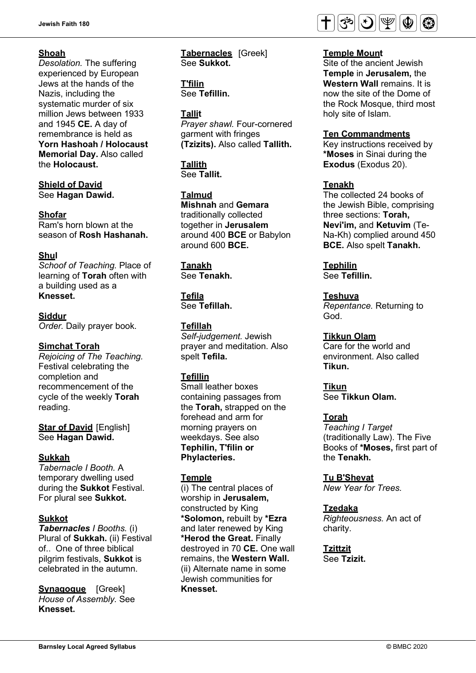### **Shoah**

*Desolation.* The suffering experienced by European Jews at the hands of the Nazis, including the systematic murder of six million Jews between 1933 and 1945 **CE.** A day of remembrance is held as **Yorn Hashoah / Holocaust Memorial Day.** Also called the **Holocaust.**

**Shield of David**  See **Hagan Dawid.** 

#### **Shofar**

Ram's horn blown at the season of **Rosh Hashanah.**

#### **Shul**

*Schoof of Teaching.* Place of learning of **Torah** often with a building used as a **Knesset.**

#### **Siddur**

*Order.* Daily prayer book.

#### **Simchat Torah**

*Rejoicing of The Teaching.*  Festival celebrating the completion and recommencement of the cycle of the weekly **Torah**  reading.

**Star of David [English]** See **Hagan Dawid.**

#### **Sukkah**

*Tabernacle I Booth.* A temporary dwelling used during the **Sukkot** Festival. For plural see **Sukkot.** 

#### **Sukkot**

*Tabernacles I Booths.* (i) Plural of **Sukkah.** (ii) Festival of.. One of three biblical pilgrim festivals, **Sukkot** is celebrated in the autumn.

**Synagogue** [Greek] *House of Assembly.* See **Knesset.** 

**Tabernacles** [Greek] See **Sukkot.**

**T'filin** See **Tefillin.** 

### **Tallit**

*Prayer shawl.* Four-cornered garment with fringes **(Tzizits).** Also called **Tallith.**

**Tallith**  See **Tallit.** 

**Talmud**

**Mishnah** and **Gemara**  traditionally collected together in **Jerusalem**  around 400 **BCE** or Babylon around 600 **BCE.**

#### **Tanakh**

See **Tenakh.** 

**Tefila** See **Tefillah.** 

#### **Tefillah**

*Self-judgement.* Jewish prayer and meditation. Also spelt **Tefila.** 

### **Tefillin**

Small leather boxes containing passages from the **Torah,** strapped on the forehead and arm for morning prayers on weekdays. See also **Tephilin, T'filin or Phylacteries.**

#### **Temple**

(i) The central places of worship in **Jerusalem,**  constructed by King **\*Solomon,** rebuilt by **\*Ezra**  and later renewed by King **\*Herod the Great.** Finally destroyed in 70 **CE.** One wall remains, the **Western Wall.**  (ii) Alternate name in some Jewish communities for **Knesset.**



#### **Temple Mount**

Site of the ancient Jewish **Temple** in **Jerusalem,** the **Western Wall** remains. It is now the site of the Dome of the Rock Mosque, third most holy site of Islam.

#### **Ten Commandments**

Key instructions received by **\*Moses** in Sinai during the **Exodus** (Exodus 20).

#### **Tenakh**

The collected 24 books of the Jewish Bible, comprising three sections: **Torah, Nevi'im,** and **Ketuvim** (Te-Na-Kh) complied around 450 **BCE.** Also spelt **Tanakh.**

**Tephilin** 

See **Tefillin.** 

#### **Teshuva**

*Repentance.* Returning to God.

#### **Tikkun Olam**

Care for the world and environment. Also called **Tikun.**

**Tikun** See **Tikkun Olam.** 

#### **Torah**

*Teaching I Target*  (traditionally Law). The Five Books of **\*Moses,** first part of the **Tenakh.**

#### **Tu B'Shevat**

*New Year for Trees.*

#### **Tzedaka**

*Righteousness.* An act of charity.

**Tzittzit** See **Tzizit.**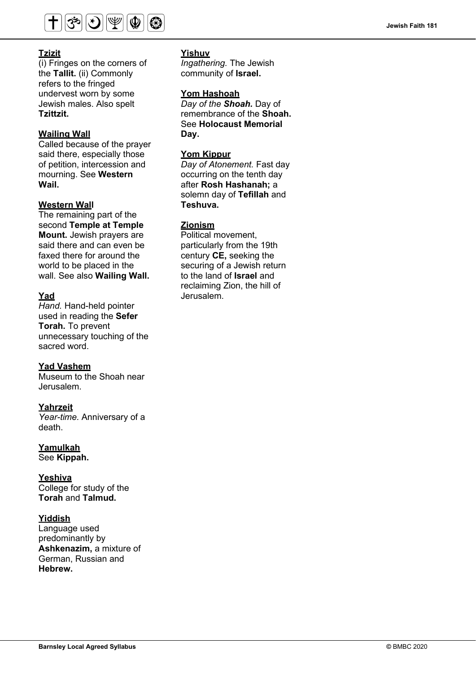

### **Tzizit**

(i) Fringes on the corners of the **Tallit.** (ii) Commonly refers to the fringed undervest worn by some Jewish males. Also spelt **Tzittzit.** 

#### **Wailing Wall**

Called because of the prayer said there, especially those of petition, intercession and mourning. See **Western Wail.**

#### **Western Wall**

The remaining part of the second **Temple at Temple Mount.** Jewish prayers are said there and can even be faxed there for around the world to be placed in the wall. See also **Wailing Wall.**

#### **Yad**

*Hand.* Hand-held pointer used in reading the **Sefer Torah.** To prevent unnecessary touching of the sacred word.

#### **Yad Vashem**

Museum to the Shoah near Jerusalem.

#### **Yahrzeit**

*Year-time.* Anniversary of a death.

#### **Yamulkah**

See **Kippah.** 

### **Yeshiva**

College for study of the **Torah** and **Talmud.**

#### **Yiddish**

Language used predominantly by **Ashkenazim,** a mixture of German, Russian and **Hebrew.**

#### **Yishuv**

*Ingathering.* The Jewish community of **Israel.**

### **Yom Hashoah**

*Day of the Shoah.* Day of remembrance of the **Shoah.**  See **Holocaust Memorial Day.**

### **Yom Kippur**

*Day of Atonement.* Fast day occurring on the tenth day after **Rosh Hashanah;** a solemn day of **Tefillah** and **Teshuva.**

### **Zionism**

Political movement, particularly from the 19th century **CE,** seeking the securing of a Jewish return to the land of **Israel** and reclaiming Zion, the hill of Jerusalem.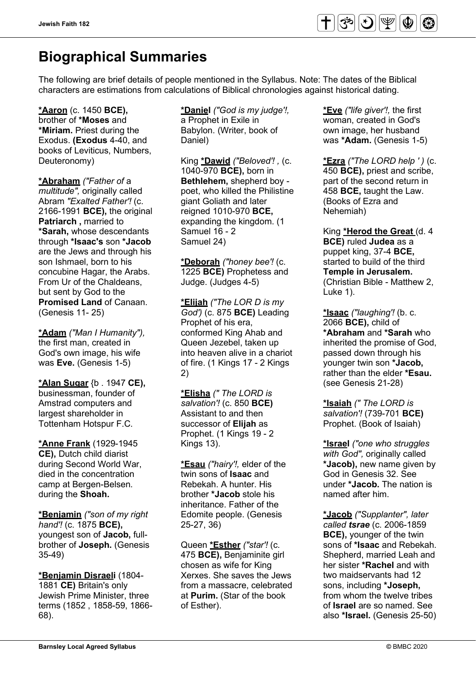

# **Biographical Summaries**

The following are brief details of people mentioned in the Syllabus. Note: The dates of the Biblical characters are estimations from calculations of Biblical chronologies against historical dating.

**\*Aaron** (c. 1450 **BCE),**  brother of **\*Moses** and **\*Miriam.** Priest during the Exodus. **(Exodus** 4-40, and books of Leviticus, Numbers, Deuteronomy)

**\*Abraham** *("Father of* a *multitude",* originally called Abram *"Exalted Father'!* (c. 2166-1991 **BCE),** the original **Patriarch ,** married to **\*Sarah,** whose descendants through **\*Isaac's** son **\*Jacob**  are the Jews and through his son Ishmael, born to his concubine Hagar, the Arabs. From Ur of the Chaldeans, but sent by God to the **Promised Land** of Canaan. (Genesis 11- 25)

**\*Adam** *("Man I Humanity"),*  the first man, created in God's own image, his wife was **Eve.** (Genesis 1-5)

**\*Alan Sugar** {b . 1947 **CE),**  businessman, founder of Amstrad computers and largest shareholder in Tottenham Hotspur F.C.

**\*Anne Frank** (1929-1945 **CE),** Dutch child diarist during Second World War, died in the concentration camp at Bergen-Belsen. during the **Shoah.**

**\*Benjamin** *("son of my right hand'!* (c. 1875 **BCE),**  youngest son of **Jacob,** fullbrother of **Joseph.** (Genesis 35-49)

**\*Benjamin Disraeli** (1804- 1881 **CE)** Britain's only Jewish Prime Minister, three terms (1852 , 1858-59, 1866- 68).

**\*Daniel** *("God is my judge'!,*  a Prophet in Exile in Babylon. (Writer, book of Daniel)

King **\*Dawid** *("Beloved'! ,* (c. 1040-970 **BCE),** born in **Bethlehem,** shepherd boy poet, who killed the Philistine giant Goliath and later reigned 1010-970 **BCE,**  expanding the kingdom. (1 Samuel 16 - 2 Samuel 24)

**\*Deborah** *("honey bee'!* (c. 1225 **BCE)** Prophetess and Judge. (Judges 4-5)

**\*Elijah** *("The LOR D is my God')* (c. 875 **BCE)** Leading Prophet of his era, conformed King Ahab and Queen Jezebel, taken up into heaven alive in a chariot of fire. (1 Kings 17 - 2 Kings 2)

**\*Elisha** *(" The LORD is salvation'!* (c. 850 **BCE)**  Assistant to and then successor of **Elijah** as Prophet. (1 Kings 19 - 2 Kings 13).

**\*Esau** *("hairy'!,* elder of the twin sons of **Isaac** and Rebekah. A hunter. His brother **\*Jacob** stole his inheritance. Father of the Edomite people. (Genesis 25-27, 36)

Queen **\*Esther** *("star'!* (c. 475 **BCE),** Benjaminite girl chosen as wife for King Xerxes. She saves the Jews from a massacre, celebrated at **Purim.** (Star of the book of Esther).

**\*Eve** *("life giver'!,* the first woman, created in God's own image, her husband was **\*Adam.** (Genesis 1-5)

**\*Ezra** *("The LORD help ' )* (c. 450 **BCE),** priest and scribe, part of the second return in 458 **BCE,** taught the Law. (Books of Ezra and Nehemiah)

King **\*Herod the Great** (d. 4 **BCE)** ruled **Judea** as a puppet king, 37-4 **BCE,**  started to build of the third **Temple in Jerusalem.**  (Christian Bible - Matthew 2, Luke 1).

**\*Isaac** *("laughing'!* (b. c. 2066 **BCE),** child of **\*Abraham** and **\*Sarah** who inherited the promise of God, passed down through his younger twin son **\*Jacob,**  rather than the elder **\*Esau.**  (see Genesis 21-28)

**\*Isaiah** *(" The LORD is salvation'!* (739-701 **BCE)**  Prophet. (Book of Isaiah)

**\*Israel** *("one who struggles with God",* originally called **\*Jacob),** new name given by God in Genesis 32. See under **\*Jacob.** The nation is named after him.

**\*Jacob** *("Supplanter", later called tsrae* (c. 2006-1859 **BCE),** younger of the twin sons of **\*Isaac** and Rebekah. Shepherd, married Leah and her sister **\*Rachel** and with two maidservants had 12 sons, including **\*Joseph,**  from whom the twelve tribes of **Israel** are so named. See also **\*Israel.** (Genesis 25-50)